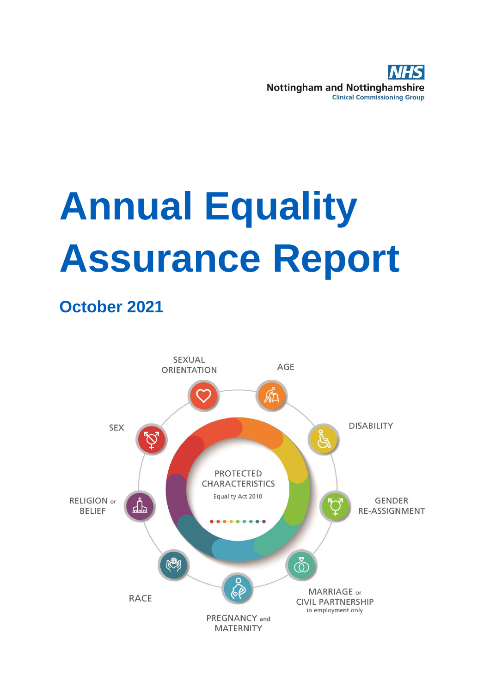

# **Annual Equality Assurance Report**

# **October 2021**

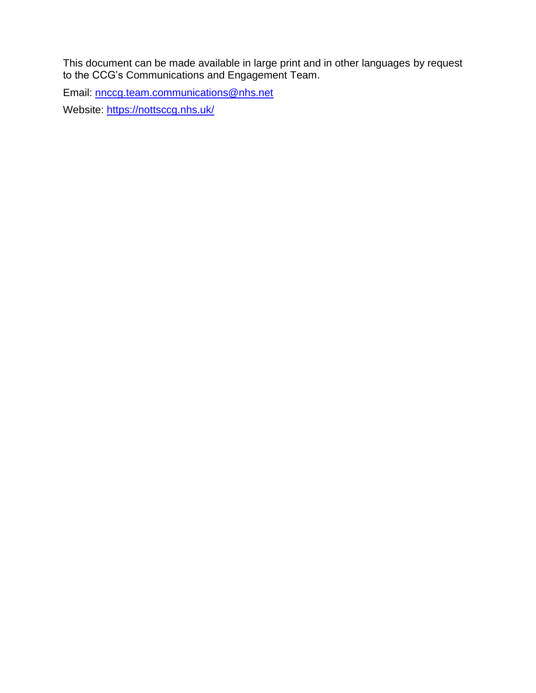This document can be made available in large print and in other languages by request to the CCG's Communications and Engagement Team.

Email: [nnccg.team.communications@nhs.net](mailto:nnccg.team.communications@nhs.net)

Website:<https://nottsccg.nhs.uk/>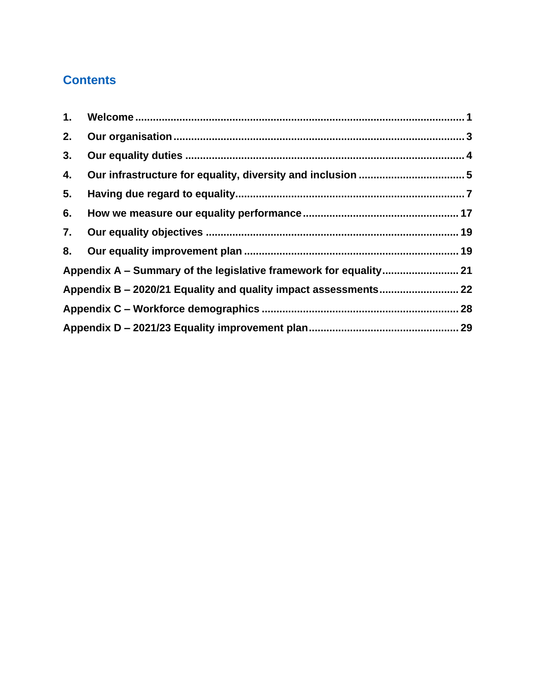# **Contents**

| 1. |  |
|----|--|
| 2. |  |
| 3. |  |
| 4. |  |
| 5. |  |
| 6. |  |
| 7. |  |
| 8. |  |
|    |  |
|    |  |
|    |  |
|    |  |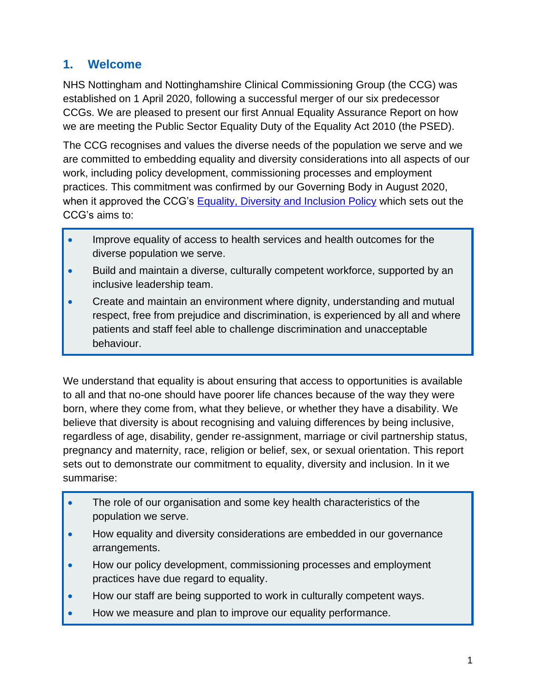## <span id="page-3-0"></span>**1. Welcome**

NHS Nottingham and Nottinghamshire Clinical Commissioning Group (the CCG) was established on 1 April 2020, following a successful merger of our six predecessor CCGs. We are pleased to present our first Annual Equality Assurance Report on how we are meeting the Public Sector Equality Duty of the Equality Act 2010 (the PSED).

The CCG recognises and values the diverse needs of the population we serve and we are committed to embedding equality and diversity considerations into all aspects of our work, including policy development, commissioning processes and employment practices. This commitment was confirmed by our Governing Body in August 2020, when it approved the CCG's [Equality, Diversity and Inclusion Policy](https://mk0nottinghamccebcmy.kinstacdn.com/wp-content/uploads/2020/08/QUAL-005-Equality-Diversity-and-Inclusion-Policy-v1.0.pdf) which sets out the CCG's aims to:

- Improve equality of access to health services and health outcomes for the diverse population we serve.
- Build and maintain a diverse, culturally competent workforce, supported by an inclusive leadership team.
- Create and maintain an environment where dignity, understanding and mutual respect, free from prejudice and discrimination, is experienced by all and where patients and staff feel able to challenge discrimination and unacceptable behaviour.

We understand that equality is about ensuring that access to opportunities is available to all and that no-one should have poorer life chances because of the way they were born, where they come from, what they believe, or whether they have a disability. We believe that diversity is about recognising and valuing differences by being inclusive, regardless of age, disability, gender re-assignment, marriage or civil partnership status, pregnancy and maternity, race, religion or belief, sex, or sexual orientation. This report sets out to demonstrate our commitment to equality, diversity and inclusion. In it we summarise:

- The role of our organisation and some key health characteristics of the population we serve.
- How equality and diversity considerations are embedded in our governance arrangements.
- How our policy development, commissioning processes and employment practices have due regard to equality.
- How our staff are being supported to work in culturally competent ways.
- How we measure and plan to improve our equality performance.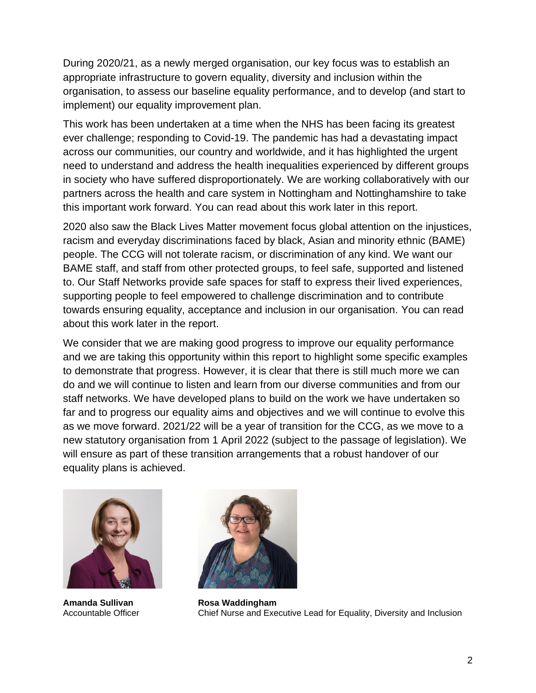During 2020/21, as a newly merged organisation, our key focus was to establish an appropriate infrastructure to govern equality, diversity and inclusion within the organisation, to assess our baseline equality performance, and to develop (and start to implement) our equality improvement plan.

This work has been undertaken at a time when the NHS has been facing its greatest ever challenge; responding to Covid-19. The pandemic has had a devastating impact across our communities, our country and worldwide, and it has highlighted the urgent need to understand and address the health inequalities experienced by different groups in society who have suffered disproportionately. We are working collaboratively with our partners across the health and care system in Nottingham and Nottinghamshire to take this important work forward. You can read about this work later in this report.

2020 also saw the Black Lives Matter movement focus global attention on the injustices, racism and everyday discriminations faced by black, Asian and minority ethnic (BAME) people. The CCG will not tolerate racism, or discrimination of any kind. We want our BAME staff, and staff from other protected groups, to feel safe, supported and listened to. Our Staff Networks provide safe spaces for staff to express their lived experiences, supporting people to feel empowered to challenge discrimination and to contribute towards ensuring equality, acceptance and inclusion in our organisation. You can read about this work later in the report.

We consider that we are making good progress to improve our equality performance and we are taking this opportunity within this report to highlight some specific examples to demonstrate that progress. However, it is clear that there is still much more we can do and we will continue to listen and learn from our diverse communities and from our staff networks. We have developed plans to build on the work we have undertaken so far and to progress our equality aims and objectives and we will continue to evolve this as we move forward. 2021/22 will be a year of transition for the CCG, as we move to a new statutory organisation from 1 April 2022 (subject to the passage of legislation). We will ensure as part of these transition arrangements that a robust handover of our equality plans is achieved.



**Amanda Sullivan** Accountable Officer



**Rosa Waddingham** Chief Nurse and Executive Lead for Equality, Diversity and Inclusion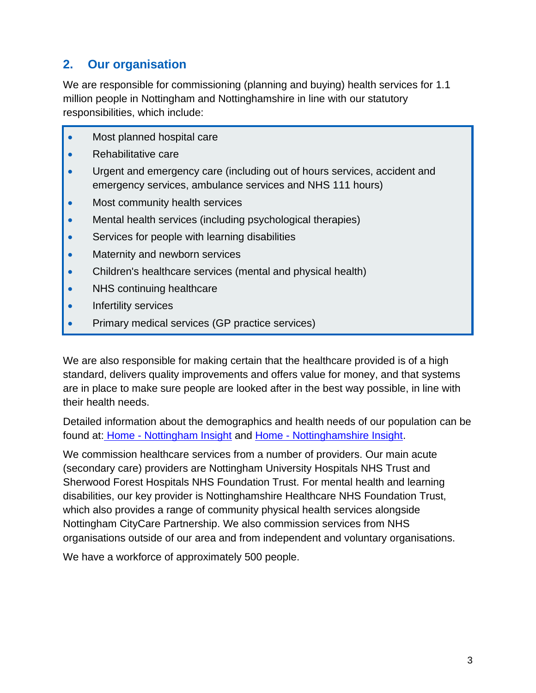# <span id="page-5-0"></span>**2. Our organisation**

We are responsible for commissioning (planning and buying) health services for 1.1 million people in Nottingham and Nottinghamshire in line with our statutory responsibilities, which include:

- Most planned hospital care
- Rehabilitative care
- Urgent and emergency care (including out of hours services, accident and emergency services, ambulance services and NHS 111 hours)
- Most community health services
- Mental health services (including psychological therapies)
- Services for people with learning disabilities
- Maternity and newborn services
- Children's healthcare services (mental and physical health)
- NHS continuing healthcare
- Infertility services
- Primary medical services (GP practice services)

We are also responsible for making certain that the healthcare provided is of a high standard, delivers quality improvements and offers value for money, and that systems are in place to make sure people are looked after in the best way possible, in line with their health needs.

Detailed information about the demographics and health needs of our population can be found at: Home - [Nottingham Insight](https://www.nottinghaminsight.org.uk/) and Home - [Nottinghamshire Insight.](https://www.nottinghamshireinsight.org.uk/)

We commission healthcare services from a number of providers. Our main acute (secondary care) providers are Nottingham University Hospitals NHS Trust and Sherwood Forest Hospitals NHS Foundation Trust. For mental health and learning disabilities, our key provider is Nottinghamshire Healthcare NHS Foundation Trust, which also provides a range of community physical health services alongside Nottingham CityCare Partnership. We also commission services from NHS organisations outside of our area and from independent and voluntary organisations.

We have a workforce of approximately 500 people.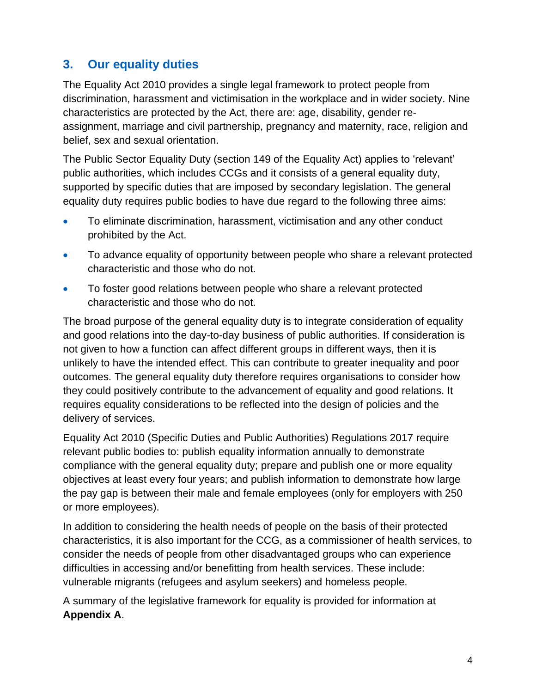## <span id="page-6-0"></span>**3. Our equality duties**

The Equality Act 2010 provides a single legal framework to protect people from discrimination, harassment and victimisation in the workplace and in wider society. Nine characteristics are protected by the Act, there are: age, disability, gender reassignment, marriage and civil partnership, pregnancy and maternity, race, religion and belief, sex and sexual orientation.

The Public Sector Equality Duty (section 149 of the Equality Act) applies to 'relevant' public authorities, which includes CCGs and it consists of a general equality duty, supported by specific duties that are imposed by secondary legislation. The general equality duty requires public bodies to have due regard to the following three aims:

- To eliminate discrimination, harassment, victimisation and any other conduct prohibited by the Act.
- To advance equality of opportunity between people who share a relevant protected characteristic and those who do not.
- To foster good relations between people who share a relevant protected characteristic and those who do not.

The broad purpose of the general equality duty is to integrate consideration of equality and good relations into the day-to-day business of public authorities. If consideration is not given to how a function can affect different groups in different ways, then it is unlikely to have the intended effect. This can contribute to greater inequality and poor outcomes. The general equality duty therefore requires organisations to consider how they could positively contribute to the advancement of equality and good relations. It requires equality considerations to be reflected into the design of policies and the delivery of services.

Equality Act 2010 (Specific Duties and Public Authorities) Regulations 2017 require relevant public bodies to: publish equality information annually to demonstrate compliance with the general equality duty; prepare and publish one or more equality objectives at least every four years; and publish information to demonstrate how large the pay gap is between their male and female employees (only for employers with 250 or more employees).

In addition to considering the health needs of people on the basis of their protected characteristics, it is also important for the CCG, as a commissioner of health services, to consider the needs of people from other disadvantaged groups who can experience difficulties in accessing and/or benefitting from health services. These include: vulnerable migrants (refugees and asylum seekers) and homeless people.

A summary of the legislative framework for equality is provided for information at **Appendix A**.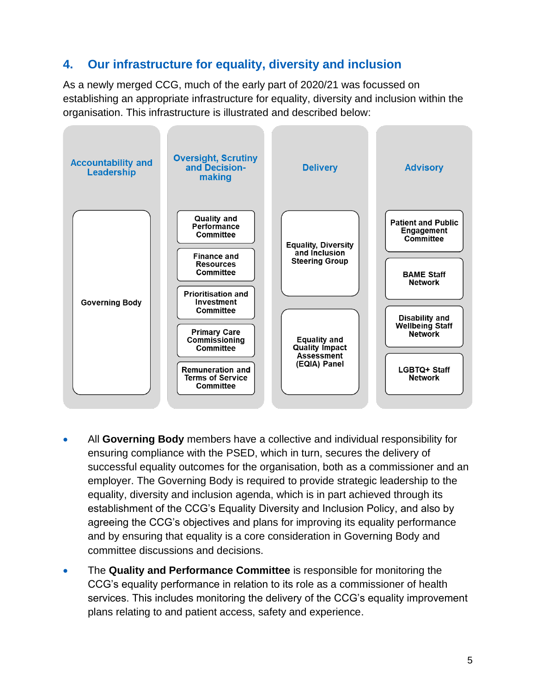# <span id="page-7-0"></span>**4. Our infrastructure for equality, diversity and inclusion**

As a newly merged CCG, much of the early part of 2020/21 was focussed on establishing an appropriate infrastructure for equality, diversity and inclusion within the organisation. This infrastructure is illustrated and described below:



- All **Governing Body** members have a collective and individual responsibility for ensuring compliance with the PSED, which in turn, secures the delivery of successful equality outcomes for the organisation, both as a commissioner and an employer. The Governing Body is required to provide strategic leadership to the equality, diversity and inclusion agenda, which is in part achieved through its establishment of the CCG's Equality Diversity and Inclusion Policy, and also by agreeing the CCG's objectives and plans for improving its equality performance and by ensuring that equality is a core consideration in Governing Body and committee discussions and decisions.
- The **Quality and Performance Committee** is responsible for monitoring the CCG's equality performance in relation to its role as a commissioner of health services. This includes monitoring the delivery of the CCG's equality improvement plans relating to and patient access, safety and experience.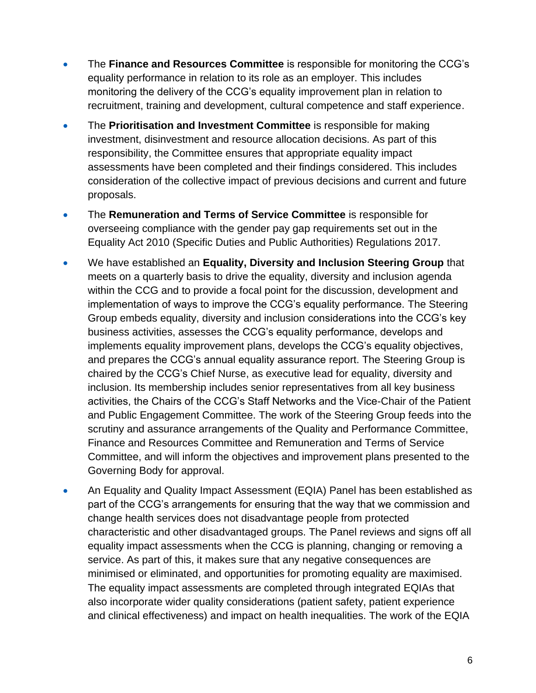- The **Finance and Resources Committee** is responsible for monitoring the CCG's equality performance in relation to its role as an employer. This includes monitoring the delivery of the CCG's equality improvement plan in relation to recruitment, training and development, cultural competence and staff experience.
- The **Prioritisation and Investment Committee** is responsible for making investment, disinvestment and resource allocation decisions. As part of this responsibility, the Committee ensures that appropriate equality impact assessments have been completed and their findings considered. This includes consideration of the collective impact of previous decisions and current and future proposals.
- The **Remuneration and Terms of Service Committee** is responsible for overseeing compliance with the gender pay gap requirements set out in the Equality Act 2010 (Specific Duties and Public Authorities) Regulations 2017.
- We have established an **Equality, Diversity and Inclusion Steering Group** that meets on a quarterly basis to drive the equality, diversity and inclusion agenda within the CCG and to provide a focal point for the discussion, development and implementation of ways to improve the CCG's equality performance. The Steering Group embeds equality, diversity and inclusion considerations into the CCG's key business activities, assesses the CCG's equality performance, develops and implements equality improvement plans, develops the CCG's equality objectives, and prepares the CCG's annual equality assurance report. The Steering Group is chaired by the CCG's Chief Nurse, as executive lead for equality, diversity and inclusion. Its membership includes senior representatives from all key business activities, the Chairs of the CCG's Staff Networks and the Vice-Chair of the Patient and Public Engagement Committee. The work of the Steering Group feeds into the scrutiny and assurance arrangements of the Quality and Performance Committee, Finance and Resources Committee and Remuneration and Terms of Service Committee, and will inform the objectives and improvement plans presented to the Governing Body for approval.
- An Equality and Quality Impact Assessment (EQIA) Panel has been established as part of the CCG's arrangements for ensuring that the way that we commission and change health services does not disadvantage people from protected characteristic and other disadvantaged groups. The Panel reviews and signs off all equality impact assessments when the CCG is planning, changing or removing a service. As part of this, it makes sure that any negative consequences are minimised or eliminated, and opportunities for promoting equality are maximised. The equality impact assessments are completed through integrated EQIAs that also incorporate wider quality considerations (patient safety, patient experience and clinical effectiveness) and impact on health inequalities. The work of the EQIA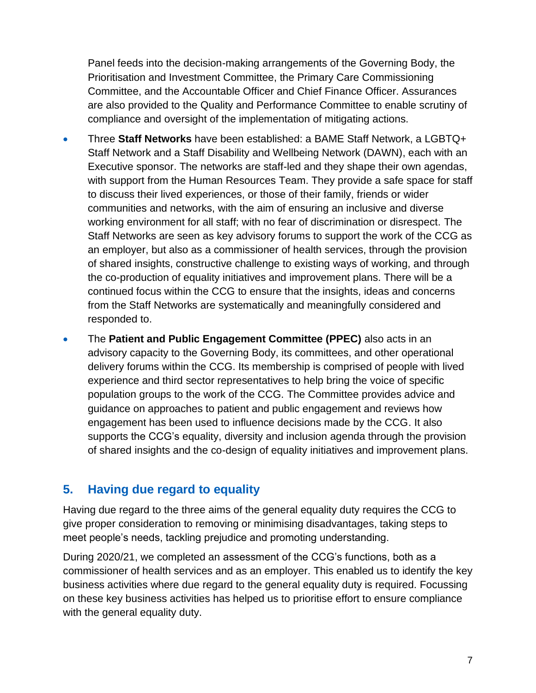Panel feeds into the decision-making arrangements of the Governing Body, the Prioritisation and Investment Committee, the Primary Care Commissioning Committee, and the Accountable Officer and Chief Finance Officer. Assurances are also provided to the Quality and Performance Committee to enable scrutiny of compliance and oversight of the implementation of mitigating actions.

- Three **Staff Networks** have been established: a BAME Staff Network, a LGBTQ+ Staff Network and a Staff Disability and Wellbeing Network (DAWN), each with an Executive sponsor. The networks are staff-led and they shape their own agendas, with support from the Human Resources Team. They provide a safe space for staff to discuss their lived experiences, or those of their family, friends or wider communities and networks, with the aim of ensuring an inclusive and diverse working environment for all staff; with no fear of discrimination or disrespect. The Staff Networks are seen as key advisory forums to support the work of the CCG as an employer, but also as a commissioner of health services, through the provision of shared insights, constructive challenge to existing ways of working, and through the co-production of equality initiatives and improvement plans. There will be a continued focus within the CCG to ensure that the insights, ideas and concerns from the Staff Networks are systematically and meaningfully considered and responded to.
- The **Patient and Public Engagement Committee (PPEC)** also acts in an advisory capacity to the Governing Body, its committees, and other operational delivery forums within the CCG. Its membership is comprised of people with lived experience and third sector representatives to help bring the voice of specific population groups to the work of the CCG. The Committee provides advice and guidance on approaches to patient and public engagement and reviews how engagement has been used to influence decisions made by the CCG. It also supports the CCG's equality, diversity and inclusion agenda through the provision of shared insights and the co-design of equality initiatives and improvement plans.

### <span id="page-9-0"></span>**5. Having due regard to equality**

Having due regard to the three aims of the general equality duty requires the CCG to give proper consideration to removing or minimising disadvantages, taking steps to meet people's needs, tackling prejudice and promoting understanding.

During 2020/21, we completed an assessment of the CCG's functions, both as a commissioner of health services and as an employer. This enabled us to identify the key business activities where due regard to the general equality duty is required. Focussing on these key business activities has helped us to prioritise effort to ensure compliance with the general equality duty.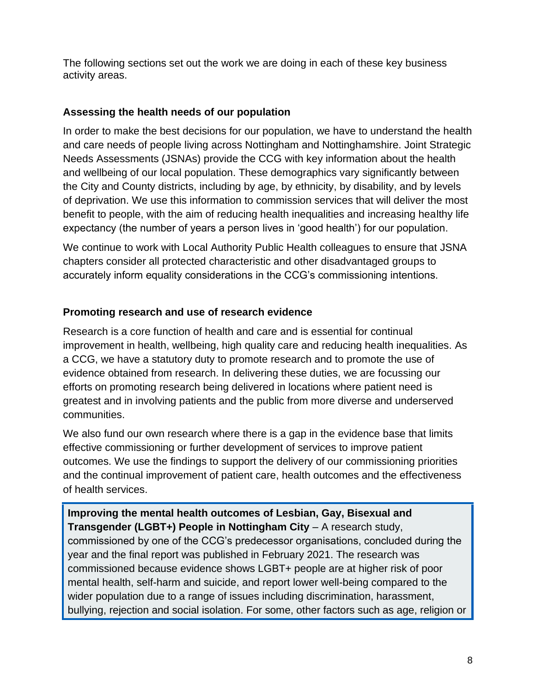The following sections set out the work we are doing in each of these key business activity areas.

#### **Assessing the health needs of our population**

In order to make the best decisions for our population, we have to understand the health and care needs of people living across Nottingham and Nottinghamshire. Joint Strategic Needs Assessments (JSNAs) provide the CCG with key information about the health and wellbeing of our local population. These demographics vary significantly between the City and County districts, including by age, by ethnicity, by disability, and by levels of deprivation. We use this information to commission services that will deliver the most benefit to people, with the aim of reducing health inequalities and increasing healthy life expectancy (the number of years a person lives in 'good health') for our population.

We continue to work with Local Authority Public Health colleagues to ensure that JSNA chapters consider all protected characteristic and other disadvantaged groups to accurately inform equality considerations in the CCG's commissioning intentions.

#### **Promoting research and use of research evidence**

Research is a core function of health and care and is essential for continual improvement in health, wellbeing, high quality care and reducing health inequalities. As a CCG, we have a statutory duty to promote research and to promote the use of evidence obtained from research. In delivering these duties, we are focussing our efforts on promoting research being delivered in locations where patient need is greatest and in involving patients and the public from more diverse and underserved communities.

We also fund our own research where there is a gap in the evidence base that limits effective commissioning or further development of services to improve patient outcomes. We use the findings to support the delivery of our commissioning priorities and the continual improvement of patient care, health outcomes and the effectiveness of health services.

**Improving the mental health outcomes of Lesbian, Gay, Bisexual and Transgender (LGBT+) People in Nottingham City** – A research study, commissioned by one of the CCG's predecessor organisations, concluded during the year and the final report was published in February 2021. The research was commissioned because evidence shows LGBT+ people are at higher risk of poor mental health, self-harm and suicide, and report lower well-being compared to the wider population due to a range of issues including discrimination, harassment, bullying, rejection and social isolation. For some, other factors such as age, religion or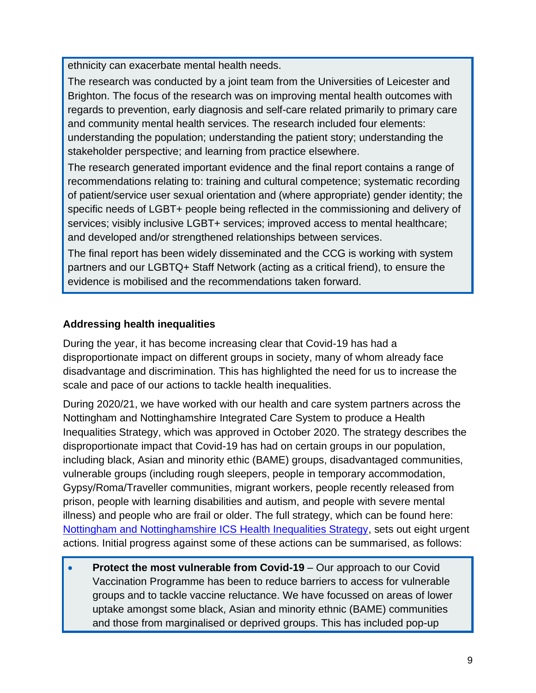ethnicity can exacerbate mental health needs.

The research was conducted by a joint team from the Universities of Leicester and Brighton. The focus of the research was on improving mental health outcomes with regards to prevention, early diagnosis and self-care related primarily to primary care and community mental health services. The research included four elements: understanding the population; understanding the patient story; understanding the stakeholder perspective; and learning from practice elsewhere.

The research generated important evidence and the final report contains a range of recommendations relating to: training and cultural competence; systematic recording of patient/service user sexual orientation and (where appropriate) gender identity; the specific needs of LGBT+ people being reflected in the commissioning and delivery of services; visibly inclusive LGBT+ services; improved access to mental healthcare; and developed and/or strengthened relationships between services.

The final report has been widely disseminated and the CCG is working with system partners and our LGBTQ+ Staff Network (acting as a critical friend), to ensure the evidence is mobilised and the recommendations taken forward.

#### **Addressing health inequalities**

During the year, it has become increasing clear that Covid-19 has had a disproportionate impact on different groups in society, many of whom already face disadvantage and discrimination. This has highlighted the need for us to increase the scale and pace of our actions to tackle health inequalities.

During 2020/21, we have worked with our health and care system partners across the Nottingham and Nottinghamshire Integrated Care System to produce a Health Inequalities Strategy, which was approved in October 2020. The strategy describes the disproportionate impact that Covid-19 has had on certain groups in our population, including black, Asian and minority ethic (BAME) groups, disadvantaged communities, vulnerable groups (including rough sleepers, people in temporary accommodation, Gypsy/Roma/Traveller communities, migrant workers, people recently released from prison, people with learning disabilities and autism, and people with severe mental illness) and people who are frail or older. The full strategy, which can be found here: [Nottingham and Nottinghamshire ICS Health Inequalities Strategy,](https://mk0healthandcary1acq.kinstacdn.com/wp-content/uploads/2020/10/Notts-ICS-HI-strategy-06-October-v1.8.pdf) sets out eight urgent actions. Initial progress against some of these actions can be summarised, as follows:

• **Protect the most vulnerable from Covid-19** – Our approach to our Covid Vaccination Programme has been to reduce barriers to access for vulnerable groups and to tackle vaccine reluctance. We have focussed on areas of lower uptake amongst some black, Asian and minority ethnic (BAME) communities and those from marginalised or deprived groups. This has included pop-up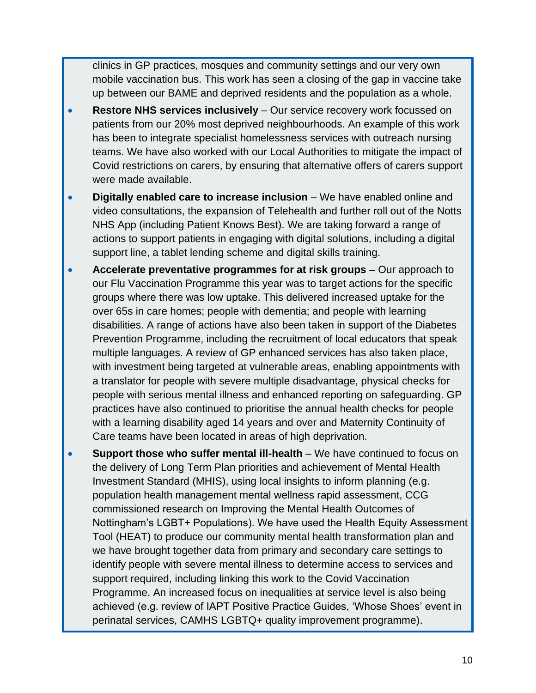clinics in GP practices, mosques and community settings and our very own mobile vaccination bus. This work has seen a closing of the gap in vaccine take up between our BAME and deprived residents and the population as a whole.

- **Restore NHS services inclusively** Our service recovery work focussed on patients from our 20% most deprived neighbourhoods. An example of this work has been to integrate specialist homelessness services with outreach nursing teams. We have also worked with our Local Authorities to mitigate the impact of Covid restrictions on carers, by ensuring that alternative offers of carers support were made available.
- **Digitally enabled care to increase inclusion** We have enabled online and video consultations, the expansion of Telehealth and further roll out of the Notts NHS App (including Patient Knows Best). We are taking forward a range of actions to support patients in engaging with digital solutions, including a digital support line, a tablet lending scheme and digital skills training.
- **Accelerate preventative programmes for at risk groups** Our approach to our Flu Vaccination Programme this year was to target actions for the specific groups where there was low uptake. This delivered increased uptake for the over 65s in care homes; people with dementia; and people with learning disabilities. A range of actions have also been taken in support of the Diabetes Prevention Programme, including the recruitment of local educators that speak multiple languages. A review of GP enhanced services has also taken place, with investment being targeted at vulnerable areas, enabling appointments with a translator for people with severe multiple disadvantage, physical checks for people with serious mental illness and enhanced reporting on safeguarding. GP practices have also continued to prioritise the annual health checks for people with a learning disability aged 14 years and over and Maternity Continuity of Care teams have been located in areas of high deprivation.
- **Support those who suffer mental ill-health** We have continued to focus on the delivery of Long Term Plan priorities and achievement of Mental Health Investment Standard (MHIS), using local insights to inform planning (e.g. population health management mental wellness rapid assessment, CCG commissioned research on Improving the Mental Health Outcomes of Nottingham's LGBT+ Populations). We have used the Health Equity Assessment Tool (HEAT) to produce our community mental health transformation plan and we have brought together data from primary and secondary care settings to identify people with severe mental illness to determine access to services and support required, including linking this work to the Covid Vaccination Programme. An increased focus on inequalities at service level is also being achieved (e.g. review of IAPT Positive Practice Guides, 'Whose Shoes' event in perinatal services, CAMHS LGBTQ+ quality improvement programme).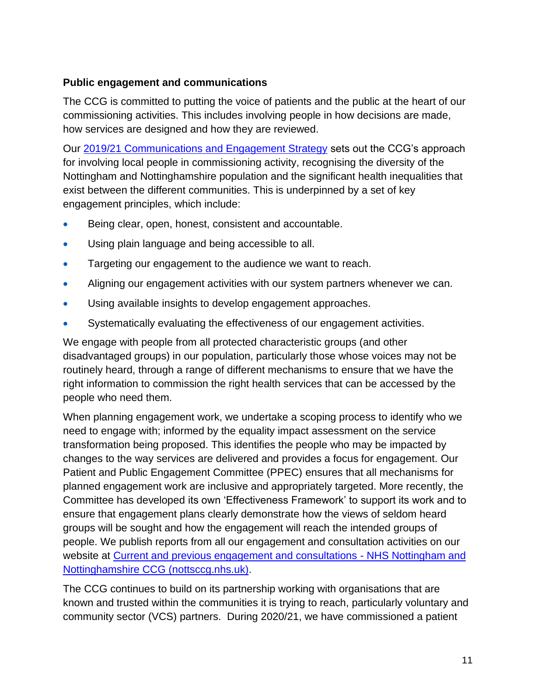#### **Public engagement and communications**

The CCG is committed to putting the voice of patients and the public at the heart of our commissioning activities. This includes involving people in how decisions are made, how services are designed and how they are reviewed.

Our [2019/21 Communications and Engagement Strategy](https://mk0nottinghamccmtc8d.kinstacdn.com/wp-content/uploads/2021/01/Communications-and-Engagement-Strategy-2019-21.pdf) sets out the CCG's approach for involving local people in commissioning activity, recognising the diversity of the Nottingham and Nottinghamshire population and the significant health inequalities that exist between the different communities. This is underpinned by a set of key engagement principles, which include:

- Being clear, open, honest, consistent and accountable.
- Using plain language and being accessible to all.
- Targeting our engagement to the audience we want to reach.
- Aligning our engagement activities with our system partners whenever we can.
- Using available insights to develop engagement approaches.
- Systematically evaluating the effectiveness of our engagement activities.

We engage with people from all protected characteristic groups (and other disadvantaged groups) in our population, particularly those whose voices may not be routinely heard, through a range of different mechanisms to ensure that we have the right information to commission the right health services that can be accessed by the people who need them.

When planning engagement work, we undertake a scoping process to identify who we need to engage with; informed by the equality impact assessment on the service transformation being proposed. This identifies the people who may be impacted by changes to the way services are delivered and provides a focus for engagement. Our Patient and Public Engagement Committee (PPEC) ensures that all mechanisms for planned engagement work are inclusive and appropriately targeted. More recently, the Committee has developed its own 'Effectiveness Framework' to support its work and to ensure that engagement plans clearly demonstrate how the views of seldom heard groups will be sought and how the engagement will reach the intended groups of people. We publish reports from all our engagement and consultation activities on our website at [Current and previous engagement and consultations -](https://nottsccg.nhs.uk/get-involved/current-and-previous-engagement-and-consultations/) NHS Nottingham and [Nottinghamshire CCG \(nottsccg.nhs.uk\).](https://nottsccg.nhs.uk/get-involved/current-and-previous-engagement-and-consultations/)

The CCG continues to build on its partnership working with organisations that are known and trusted within the communities it is trying to reach, particularly voluntary and community sector (VCS) partners. During 2020/21, we have commissioned a patient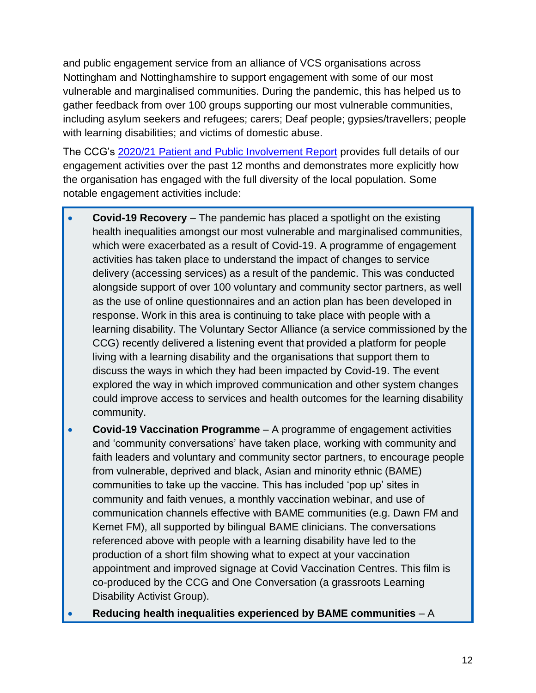and public engagement service from an alliance of VCS organisations across Nottingham and Nottinghamshire to support engagement with some of our most vulnerable and marginalised communities. During the pandemic, this has helped us to gather feedback from over 100 groups supporting our most vulnerable communities, including asylum seekers and refugees; carers; Deaf people; gypsies/travellers; people with learning disabilities; and victims of domestic abuse.

The CCG's [2020/21 Patient and Public Involvement Report](https://nottsccg.nhs.uk/get-involved/engagement-reports/) provides full details of our engagement activities over the past 12 months and demonstrates more explicitly how the organisation has engaged with the full diversity of the local population. Some notable engagement activities include:

- **Covid-19 Recovery** The pandemic has placed a spotlight on the existing health inequalities amongst our most vulnerable and marginalised communities, which were exacerbated as a result of Covid-19. A programme of engagement activities has taken place to understand the impact of changes to service delivery (accessing services) as a result of the pandemic. This was conducted alongside support of over 100 voluntary and community sector partners, as well as the use of online questionnaires and an action plan has been developed in response. Work in this area is continuing to take place with people with a learning disability. The Voluntary Sector Alliance (a service commissioned by the CCG) recently delivered a listening event that provided a platform for people living with a learning disability and the organisations that support them to discuss the ways in which they had been impacted by Covid-19. The event explored the way in which improved communication and other system changes could improve access to services and health outcomes for the learning disability community.
- **Covid-19 Vaccination Programme** A programme of engagement activities and 'community conversations' have taken place, working with community and faith leaders and voluntary and community sector partners, to encourage people from vulnerable, deprived and black, Asian and minority ethnic (BAME) communities to take up the vaccine. This has included 'pop up' sites in community and faith venues, a monthly vaccination webinar, and use of communication channels effective with BAME communities (e.g. Dawn FM and Kemet FM), all supported by bilingual BAME clinicians. The conversations referenced above with people with a learning disability have led to the production of a short film showing what to expect at your vaccination appointment and improved signage at Covid Vaccination Centres. This film is co-produced by the CCG and One Conversation (a grassroots Learning Disability Activist Group).
- **Reducing health inequalities experienced by BAME communities** A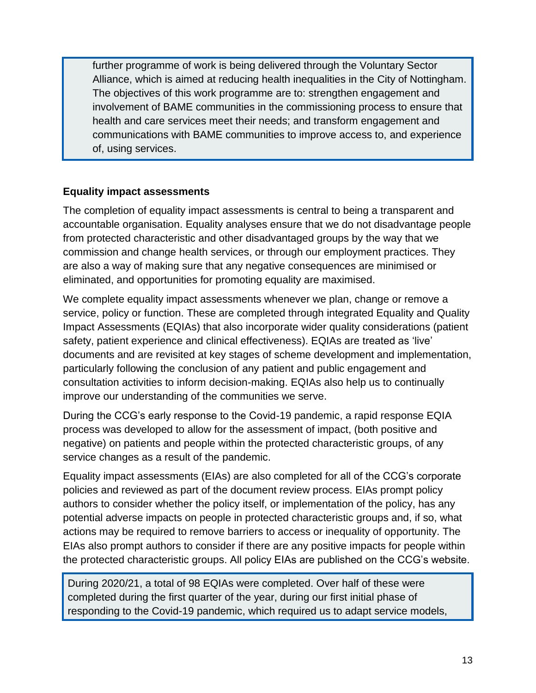further programme of work is being delivered through the Voluntary Sector Alliance, which is aimed at reducing health inequalities in the City of Nottingham. The objectives of this work programme are to: strengthen engagement and involvement of BAME communities in the commissioning process to ensure that health and care services meet their needs; and transform engagement and communications with BAME communities to improve access to, and experience of, using services.

#### **Equality impact assessments**

The completion of equality impact assessments is central to being a transparent and accountable organisation. Equality analyses ensure that we do not disadvantage people from protected characteristic and other disadvantaged groups by the way that we commission and change health services, or through our employment practices. They are also a way of making sure that any negative consequences are minimised or eliminated, and opportunities for promoting equality are maximised.

We complete equality impact assessments whenever we plan, change or remove a service, policy or function. These are completed through integrated Equality and Quality Impact Assessments (EQIAs) that also incorporate wider quality considerations (patient safety, patient experience and clinical effectiveness). EQIAs are treated as 'live' documents and are revisited at key stages of scheme development and implementation, particularly following the conclusion of any patient and public engagement and consultation activities to inform decision-making. EQIAs also help us to continually improve our understanding of the communities we serve.

During the CCG's early response to the Covid-19 pandemic, a rapid response EQIA process was developed to allow for the assessment of impact, (both positive and negative) on patients and people within the protected characteristic groups, of any service changes as a result of the pandemic.

Equality impact assessments (EIAs) are also completed for all of the CCG's corporate policies and reviewed as part of the document review process. EIAs prompt policy authors to consider whether the policy itself, or implementation of the policy, has any potential adverse impacts on people in protected characteristic groups and, if so, what actions may be required to remove barriers to access or inequality of opportunity. The EIAs also prompt authors to consider if there are any positive impacts for people within the protected characteristic groups. All policy EIAs are published on the CCG's website.

During 2020/21, a total of 98 EQIAs were completed. Over half of these were completed during the first quarter of the year, during our first initial phase of responding to the Covid-19 pandemic, which required us to adapt service models,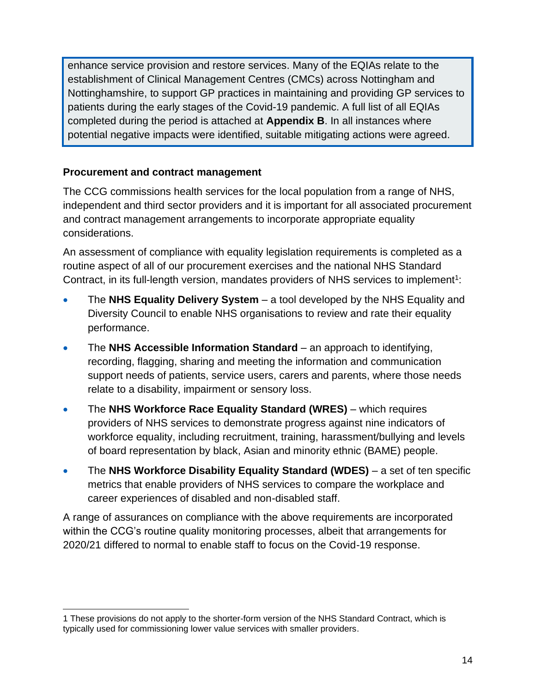enhance service provision and restore services. Many of the EQIAs relate to the establishment of Clinical Management Centres (CMCs) across Nottingham and Nottinghamshire, to support GP practices in maintaining and providing GP services to patients during the early stages of the Covid-19 pandemic. A full list of all EQIAs completed during the period is attached at **Appendix B**. In all instances where potential negative impacts were identified, suitable mitigating actions were agreed.

#### **Procurement and contract management**

The CCG commissions health services for the local population from a range of NHS, independent and third sector providers and it is important for all associated procurement and contract management arrangements to incorporate appropriate equality considerations.

An assessment of compliance with equality legislation requirements is completed as a routine aspect of all of our procurement exercises and the national NHS Standard Contract, in its full-length version, mandates providers of NHS services to implement<sup>1</sup>:

- The **NHS Equality Delivery System** a tool developed by the NHS Equality and Diversity Council to enable NHS organisations to review and rate their equality performance.
- The **NHS Accessible Information Standard** an approach to identifying, recording, flagging, sharing and meeting the information and communication support needs of patients, service users, carers and parents, where those needs relate to a disability, impairment or sensory loss.
- The **NHS Workforce Race Equality Standard (WRES)** which requires providers of NHS services to demonstrate progress against nine indicators of workforce equality, including recruitment, training, harassment/bullying and levels of board representation by black, Asian and minority ethnic (BAME) people.
- The **NHS Workforce Disability Equality Standard (WDES)** a set of ten specific metrics that enable providers of NHS services to compare the workplace and career experiences of disabled and non-disabled staff.

A range of assurances on compliance with the above requirements are incorporated within the CCG's routine quality monitoring processes, albeit that arrangements for 2020/21 differed to normal to enable staff to focus on the Covid-19 response.

<sup>1</sup> These provisions do not apply to the shorter-form version of the NHS Standard Contract, which is typically used for commissioning lower value services with smaller providers.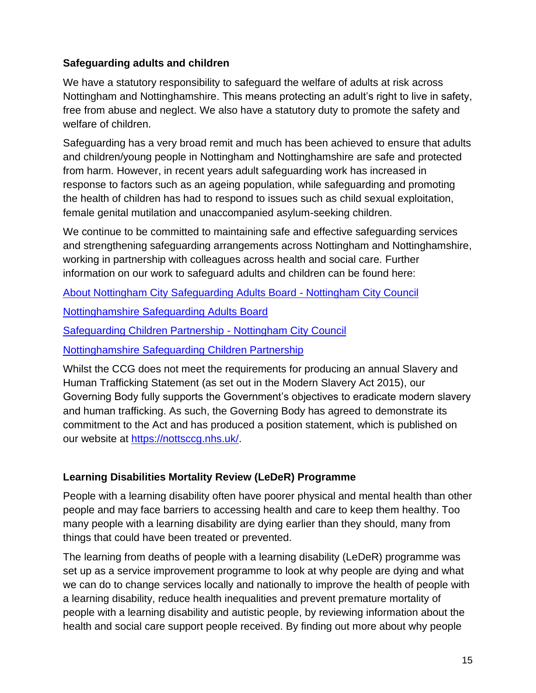#### **Safeguarding adults and children**

We have a statutory responsibility to safeguard the welfare of adults at risk across Nottingham and Nottinghamshire. This means protecting an adult's right to live in safety, free from abuse and neglect. We also have a statutory duty to promote the safety and welfare of children.

Safeguarding has a very broad remit and much has been achieved to ensure that adults and children/young people in Nottingham and Nottinghamshire are safe and protected from harm. However, in recent years adult safeguarding work has increased in response to factors such as an ageing population, while safeguarding and promoting the health of children has had to respond to issues such as child sexual exploitation, female genital mutilation and unaccompanied asylum-seeking children.

We continue to be committed to maintaining safe and effective safeguarding services and strengthening safeguarding arrangements across Nottingham and Nottinghamshire, working in partnership with colleagues across health and social care. Further information on our work to safeguard adults and children can be found here:

[About Nottingham City Safeguarding Adults Board -](https://www.nottinghamcity.gov.uk/information-for-residents/health-and-social-care/adult-social-care/adult-safeguarding/about-nottingham-city-safeguarding-adults-board/) Nottingham City Council

[Nottinghamshire Safeguarding Adults Board](https://nsab.nottinghamshire.gov.uk/)

[Safeguarding Children Partnership -](https://www.nottinghamcity.gov.uk/ncscp) Nottingham City Council

[Nottinghamshire Safeguarding Children Partnership](https://nscp.nottinghamshire.gov.uk/)

Whilst the CCG does not meet the requirements for producing an annual Slavery and Human Trafficking Statement (as set out in the Modern Slavery Act 2015), our Governing Body fully supports the Government's objectives to eradicate modern slavery and human trafficking. As such, the Governing Body has agreed to demonstrate its commitment to the Act and has produced a position statement, which is published on our website at [https://nottsccg.nhs.uk/.](https://nottsccg.nhs.uk/)

#### **Learning Disabilities Mortality Review (LeDeR) Programme**

People with a learning disability often have poorer physical and mental health than other people and may face barriers to accessing health and care to keep them healthy. Too many people with a learning disability are dying earlier than they should, many from things that could have been treated or prevented.

The learning from deaths of people with a learning disability (LeDeR) programme was set up as a service improvement programme to look at why people are dying and what we can do to change services locally and nationally to improve the health of people with a learning disability, reduce health inequalities and prevent premature mortality of people with a learning disability and autistic people, by reviewing information about the health and social care support people received. By finding out more about why people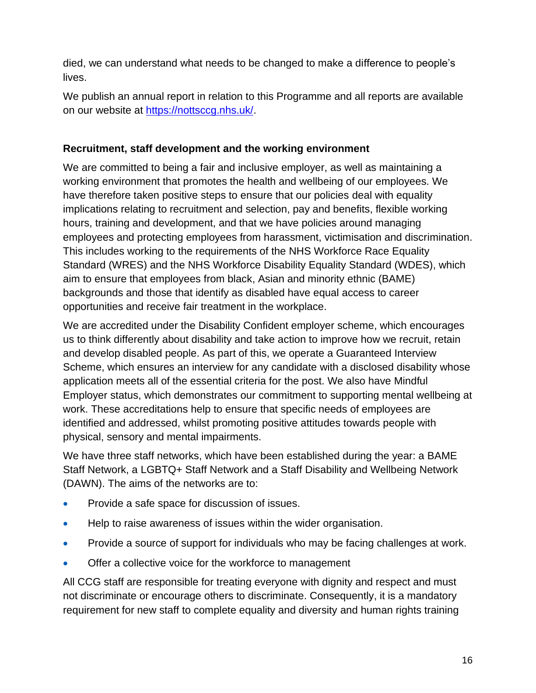died, we can understand what needs to be changed to make a difference to people's lives.

We publish an annual report in relation to this Programme and all reports are available on our website at [https://nottsccg.nhs.uk/.](https://nottsccg.nhs.uk/)

#### **Recruitment, staff development and the working environment**

We are committed to being a fair and inclusive employer, as well as maintaining a working environment that promotes the health and wellbeing of our employees. We have therefore taken positive steps to ensure that our policies deal with equality implications relating to recruitment and selection, pay and benefits, flexible working hours, training and development, and that we have policies around managing employees and protecting employees from harassment, victimisation and discrimination. This includes working to the requirements of the NHS Workforce Race Equality Standard (WRES) and the NHS Workforce Disability Equality Standard (WDES), which aim to ensure that employees from black, Asian and minority ethnic (BAME) backgrounds and those that identify as disabled have equal access to career opportunities and receive fair treatment in the workplace.

We are accredited under the Disability Confident employer scheme, which encourages us to think differently about disability and take action to improve how we recruit, retain and develop disabled people. As part of this, we operate a Guaranteed Interview Scheme, which ensures an interview for any candidate with a disclosed disability whose application meets all of the essential criteria for the post. We also have Mindful Employer status, which demonstrates our commitment to supporting mental wellbeing at work. These accreditations help to ensure that specific needs of employees are identified and addressed, whilst promoting positive attitudes towards people with physical, sensory and mental impairments.

We have three staff networks, which have been established during the year: a BAME Staff Network, a LGBTQ+ Staff Network and a Staff Disability and Wellbeing Network (DAWN). The aims of the networks are to:

- Provide a safe space for discussion of issues.
- Help to raise awareness of issues within the wider organisation.
- Provide a source of support for individuals who may be facing challenges at work.
- Offer a collective voice for the workforce to management

All CCG staff are responsible for treating everyone with dignity and respect and must not discriminate or encourage others to discriminate. Consequently, it is a mandatory requirement for new staff to complete equality and diversity and human rights training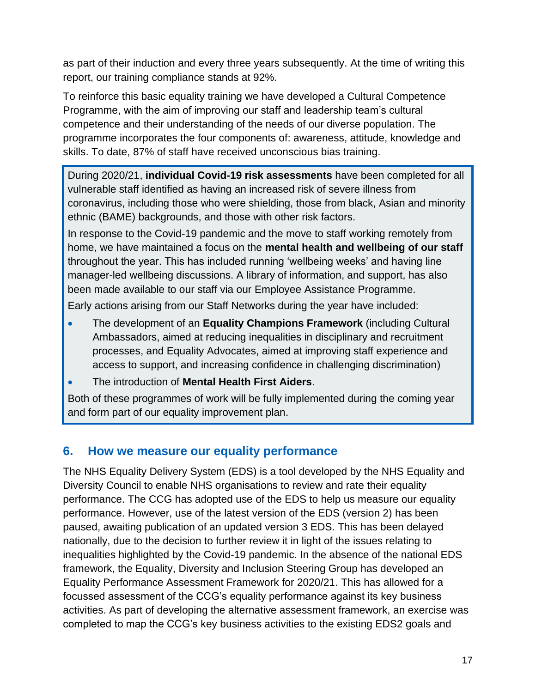as part of their induction and every three years subsequently. At the time of writing this report, our training compliance stands at 92%.

To reinforce this basic equality training we have developed a Cultural Competence Programme, with the aim of improving our staff and leadership team's cultural competence and their understanding of the needs of our diverse population. The programme incorporates the four components of: awareness, attitude, knowledge and skills. To date, 87% of staff have received unconscious bias training.

During 2020/21, **individual Covid-19 risk assessments** have been completed for all vulnerable staff identified as having an increased risk of severe illness from coronavirus, including those who were shielding, those from black, Asian and minority ethnic (BAME) backgrounds, and those with other risk factors.

In response to the Covid-19 pandemic and the move to staff working remotely from home, we have maintained a focus on the **mental health and wellbeing of our staff** throughout the year. This has included running 'wellbeing weeks' and having line manager-led wellbeing discussions. A library of information, and support, has also been made available to our staff via our Employee Assistance Programme.

Early actions arising from our Staff Networks during the year have included:

- The development of an **Equality Champions Framework** (including Cultural Ambassadors, aimed at reducing inequalities in disciplinary and recruitment processes, and Equality Advocates, aimed at improving staff experience and access to support, and increasing confidence in challenging discrimination)
- The introduction of **Mental Health First Aiders**.

Both of these programmes of work will be fully implemented during the coming year and form part of our equality improvement plan.

## <span id="page-19-0"></span>**6. How we measure our equality performance**

The NHS Equality Delivery System (EDS) is a tool developed by the NHS Equality and Diversity Council to enable NHS organisations to review and rate their equality performance. The CCG has adopted use of the EDS to help us measure our equality performance. However, use of the latest version of the EDS (version 2) has been paused, awaiting publication of an updated version 3 EDS. This has been delayed nationally, due to the decision to further review it in light of the issues relating to inequalities highlighted by the Covid-19 pandemic. In the absence of the national EDS framework, the Equality, Diversity and Inclusion Steering Group has developed an Equality Performance Assessment Framework for 2020/21. This has allowed for a focussed assessment of the CCG's equality performance against its key business activities. As part of developing the alternative assessment framework, an exercise was completed to map the CCG's key business activities to the existing EDS2 goals and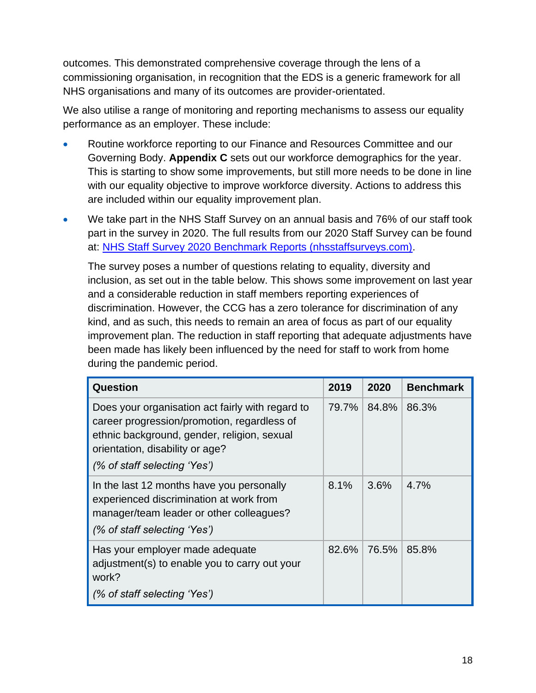outcomes. This demonstrated comprehensive coverage through the lens of a commissioning organisation, in recognition that the EDS is a generic framework for all NHS organisations and many of its outcomes are provider-orientated.

We also utilise a range of monitoring and reporting mechanisms to assess our equality performance as an employer. These include:

- Routine workforce reporting to our Finance and Resources Committee and our Governing Body. **Appendix C** sets out our workforce demographics for the year. This is starting to show some improvements, but still more needs to be done in line with our equality objective to improve workforce diversity. Actions to address this are included within our equality improvement plan.
- We take part in the NHS Staff Survey on an annual basis and 76% of our staff took part in the survey in 2020. The full results from our 2020 Staff Survey can be found at: [NHS Staff Survey 2020 Benchmark Reports \(nhsstaffsurveys.com\).](https://cms.nhsstaffsurveys.com/app/reports/2020/52R-summary-2020.pdf)

The survey poses a number of questions relating to equality, diversity and inclusion, as set out in the table below. This shows some improvement on last year and a considerable reduction in staff members reporting experiences of discrimination. However, the CCG has a zero tolerance for discrimination of any kind, and as such, this needs to remain an area of focus as part of our equality improvement plan. The reduction in staff reporting that adequate adjustments have been made has likely been influenced by the need for staff to work from home during the pandemic period.

| Question                                                                                                                                                                                                          | 2019  | 2020  | <b>Benchmark</b> |
|-------------------------------------------------------------------------------------------------------------------------------------------------------------------------------------------------------------------|-------|-------|------------------|
| Does your organisation act fairly with regard to<br>career progression/promotion, regardless of<br>ethnic background, gender, religion, sexual<br>orientation, disability or age?<br>(% of staff selecting 'Yes') | 79.7% | 84.8% | 86.3%            |
| In the last 12 months have you personally<br>experienced discrimination at work from<br>manager/team leader or other colleagues?<br>(% of staff selecting 'Yes')                                                  | 8.1%  | 3.6%  | $4.7\%$          |
| Has your employer made adequate<br>adjustment(s) to enable you to carry out your<br>work?<br>(% of staff selecting 'Yes')                                                                                         | 82.6% | 76.5% | 85.8%            |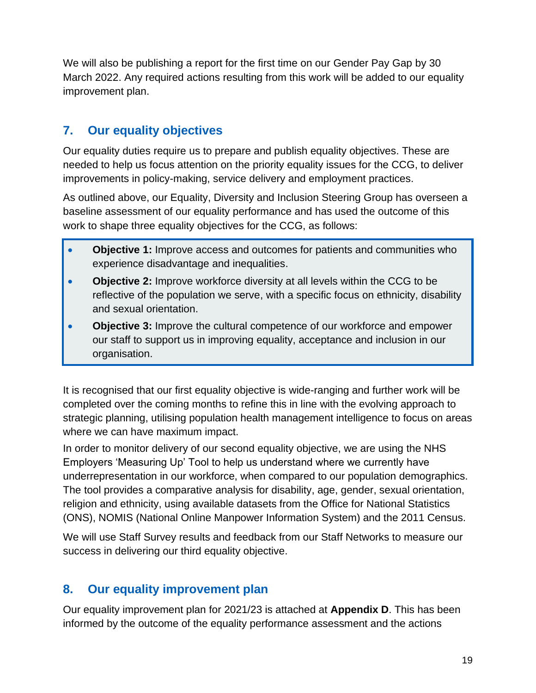We will also be publishing a report for the first time on our Gender Pay Gap by 30 March 2022. Any required actions resulting from this work will be added to our equality improvement plan.

# <span id="page-21-0"></span>**7. Our equality objectives**

Our equality duties require us to prepare and publish equality objectives. These are needed to help us focus attention on the priority equality issues for the CCG, to deliver improvements in policy-making, service delivery and employment practices.

As outlined above, our Equality, Diversity and Inclusion Steering Group has overseen a baseline assessment of our equality performance and has used the outcome of this work to shape three equality objectives for the CCG, as follows:

- **Objective 1:** Improve access and outcomes for patients and communities who experience disadvantage and inequalities.
- **Objective 2:** Improve workforce diversity at all levels within the CCG to be reflective of the population we serve, with a specific focus on ethnicity, disability and sexual orientation.
- **Objective 3:** Improve the cultural competence of our workforce and empower our staff to support us in improving equality, acceptance and inclusion in our organisation.

It is recognised that our first equality objective is wide-ranging and further work will be completed over the coming months to refine this in line with the evolving approach to strategic planning, utilising population health management intelligence to focus on areas where we can have maximum impact.

In order to monitor delivery of our second equality objective, we are using the NHS Employers 'Measuring Up' Tool to help us understand where we currently have underrepresentation in our workforce, when compared to our population demographics. The tool provides a comparative analysis for disability, age, gender, sexual orientation, religion and ethnicity, using available datasets from the Office for National Statistics (ONS), NOMIS (National Online Manpower Information System) and the 2011 Census.

We will use Staff Survey results and feedback from our Staff Networks to measure our success in delivering our third equality objective.

## <span id="page-21-1"></span>**8. Our equality improvement plan**

Our equality improvement plan for 2021/23 is attached at **Appendix D**. This has been informed by the outcome of the equality performance assessment and the actions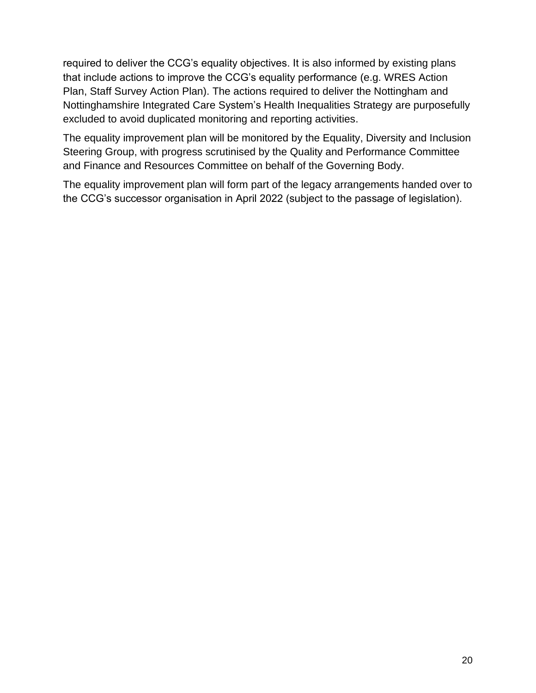required to deliver the CCG's equality objectives. It is also informed by existing plans that include actions to improve the CCG's equality performance (e.g. WRES Action Plan, Staff Survey Action Plan). The actions required to deliver the Nottingham and Nottinghamshire Integrated Care System's Health Inequalities Strategy are purposefully excluded to avoid duplicated monitoring and reporting activities.

The equality improvement plan will be monitored by the Equality, Diversity and Inclusion Steering Group, with progress scrutinised by the Quality and Performance Committee and Finance and Resources Committee on behalf of the Governing Body.

The equality improvement plan will form part of the legacy arrangements handed over to the CCG's successor organisation in April 2022 (subject to the passage of legislation).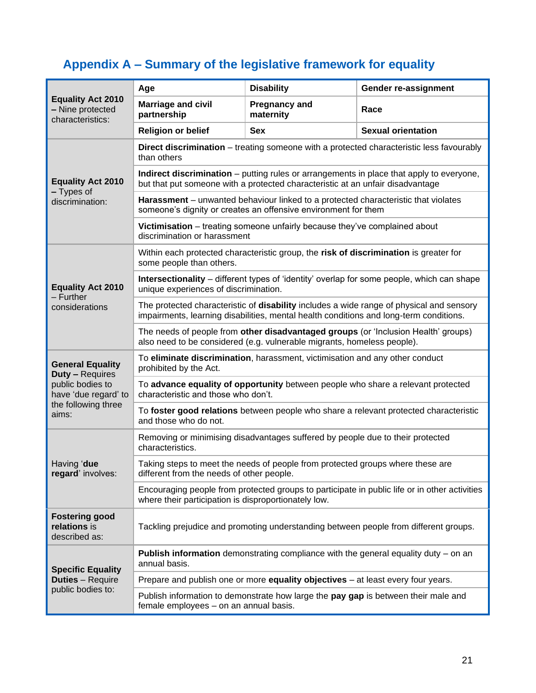# <span id="page-23-0"></span>**Appendix A – Summary of the legislative framework for equality**

|                                                                  | Age                                                                                                                                                                                | <b>Disability</b>                                                                                                                                    | Gender re-assignment                                                                            |  |  |
|------------------------------------------------------------------|------------------------------------------------------------------------------------------------------------------------------------------------------------------------------------|------------------------------------------------------------------------------------------------------------------------------------------------------|-------------------------------------------------------------------------------------------------|--|--|
| <b>Equality Act 2010</b><br>- Nine protected<br>characteristics: | <b>Marriage and civil</b><br>partnership                                                                                                                                           | <b>Pregnancy and</b><br>maternity                                                                                                                    | Race                                                                                            |  |  |
|                                                                  | <b>Religion or belief</b>                                                                                                                                                          | <b>Sex</b>                                                                                                                                           | <b>Sexual orientation</b>                                                                       |  |  |
|                                                                  | than others                                                                                                                                                                        |                                                                                                                                                      | <b>Direct discrimination</b> – treating someone with a protected characteristic less favourably |  |  |
| <b>Equality Act 2010</b><br>- Types of                           |                                                                                                                                                                                    | but that put someone with a protected characteristic at an unfair disadvantage                                                                       | Indirect discrimination - putting rules or arrangements in place that apply to everyone,        |  |  |
| discrimination:                                                  |                                                                                                                                                                                    | Harassment - unwanted behaviour linked to a protected characteristic that violates<br>someone's dignity or creates an offensive environment for them |                                                                                                 |  |  |
|                                                                  | discrimination or harassment                                                                                                                                                       | Victimisation - treating someone unfairly because they've complained about                                                                           |                                                                                                 |  |  |
|                                                                  | some people than others.                                                                                                                                                           | Within each protected characteristic group, the risk of discrimination is greater for                                                                |                                                                                                 |  |  |
| <b>Equality Act 2010</b><br>$-$ Further                          | <b>Intersectionality</b> – different types of 'identity' overlap for some people, which can shape<br>unique experiences of discrimination.                                         |                                                                                                                                                      |                                                                                                 |  |  |
| considerations                                                   | The protected characteristic of disability includes a wide range of physical and sensory<br>impairments, learning disabilities, mental health conditions and long-term conditions. |                                                                                                                                                      |                                                                                                 |  |  |
|                                                                  | The needs of people from other disadvantaged groups (or 'Inclusion Health' groups)<br>also need to be considered (e.g. vulnerable migrants, homeless people).                      |                                                                                                                                                      |                                                                                                 |  |  |
| <b>General Equality</b><br><b>Duty - Requires</b>                | To eliminate discrimination, harassment, victimisation and any other conduct<br>prohibited by the Act.                                                                             |                                                                                                                                                      |                                                                                                 |  |  |
| public bodies to<br>have 'due regard' to                         | To advance equality of opportunity between people who share a relevant protected<br>characteristic and those who don't.                                                            |                                                                                                                                                      |                                                                                                 |  |  |
| the following three<br>aims:                                     | To foster good relations between people who share a relevant protected characteristic<br>and those who do not.                                                                     |                                                                                                                                                      |                                                                                                 |  |  |
|                                                                  | Removing or minimising disadvantages suffered by people due to their protected<br>characteristics.                                                                                 |                                                                                                                                                      |                                                                                                 |  |  |
| Having 'due<br>regard' involves:                                 | Taking steps to meet the needs of people from protected groups where these are<br>different from the needs of other people.                                                        |                                                                                                                                                      |                                                                                                 |  |  |
|                                                                  | Encouraging people from protected groups to participate in public life or in other activities<br>where their participation is disproportionately low.                              |                                                                                                                                                      |                                                                                                 |  |  |
| <b>Fostering good</b><br>relations is<br>described as:           | Tackling prejudice and promoting understanding between people from different groups.                                                                                               |                                                                                                                                                      |                                                                                                 |  |  |
| <b>Specific Equality</b>                                         | <b>Publish information</b> demonstrating compliance with the general equality duty $-$ on an<br>annual basis.                                                                      |                                                                                                                                                      |                                                                                                 |  |  |
| <b>Duties</b> - Require                                          | Prepare and publish one or more equality objectives - at least every four years.                                                                                                   |                                                                                                                                                      |                                                                                                 |  |  |
| public bodies to:                                                | Publish information to demonstrate how large the pay gap is between their male and<br>female employees - on an annual basis.                                                       |                                                                                                                                                      |                                                                                                 |  |  |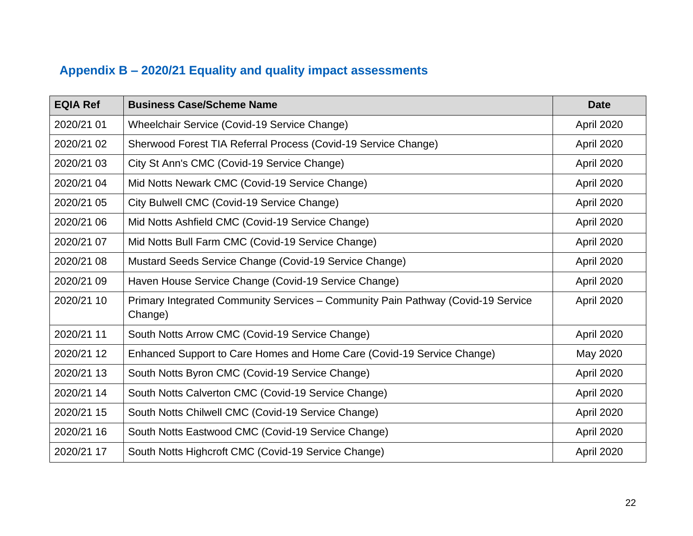# **Appendix B – 2020/21 Equality and quality impact assessments**

<span id="page-24-0"></span>

| <b>EQIA Ref</b> | <b>Business Case/Scheme Name</b>                                                            | <b>Date</b> |
|-----------------|---------------------------------------------------------------------------------------------|-------------|
| 2020/21 01      | Wheelchair Service (Covid-19 Service Change)                                                | April 2020  |
| 2020/21 02      | Sherwood Forest TIA Referral Process (Covid-19 Service Change)                              | April 2020  |
| 2020/21 03      | City St Ann's CMC (Covid-19 Service Change)                                                 | April 2020  |
| 2020/21 04      | Mid Notts Newark CMC (Covid-19 Service Change)                                              | April 2020  |
| 2020/21 05      | City Bulwell CMC (Covid-19 Service Change)                                                  | April 2020  |
| 2020/21 06      | Mid Notts Ashfield CMC (Covid-19 Service Change)                                            | April 2020  |
| 2020/21 07      | Mid Notts Bull Farm CMC (Covid-19 Service Change)                                           | April 2020  |
| 2020/21 08      | Mustard Seeds Service Change (Covid-19 Service Change)                                      | April 2020  |
| 2020/21 09      | Haven House Service Change (Covid-19 Service Change)                                        | April 2020  |
| 2020/21 10      | Primary Integrated Community Services - Community Pain Pathway (Covid-19 Service<br>Change) | April 2020  |
| 2020/21 11      | South Notts Arrow CMC (Covid-19 Service Change)                                             | April 2020  |
| 2020/21 12      | Enhanced Support to Care Homes and Home Care (Covid-19 Service Change)                      | May 2020    |
| 2020/21 13      | South Notts Byron CMC (Covid-19 Service Change)                                             | April 2020  |
| 2020/21 14      | South Notts Calverton CMC (Covid-19 Service Change)                                         | April 2020  |
| 2020/21 15      | South Notts Chilwell CMC (Covid-19 Service Change)                                          | April 2020  |
| 2020/21 16      | South Notts Eastwood CMC (Covid-19 Service Change)                                          | April 2020  |
| 2020/21 17      | South Notts Highcroft CMC (Covid-19 Service Change)                                         | April 2020  |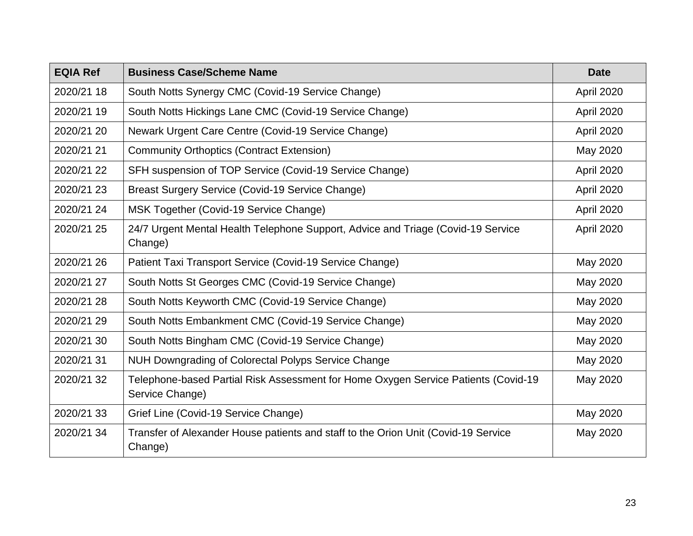| <b>EQIA Ref</b> | <b>Business Case/Scheme Name</b>                                                                      | <b>Date</b> |
|-----------------|-------------------------------------------------------------------------------------------------------|-------------|
| 2020/21 18      | South Notts Synergy CMC (Covid-19 Service Change)                                                     | April 2020  |
| 2020/21 19      | South Notts Hickings Lane CMC (Covid-19 Service Change)                                               | April 2020  |
| 2020/21 20      | Newark Urgent Care Centre (Covid-19 Service Change)                                                   | April 2020  |
| 2020/21 21      | <b>Community Orthoptics (Contract Extension)</b>                                                      | May 2020    |
| 2020/21 22      | SFH suspension of TOP Service (Covid-19 Service Change)                                               | April 2020  |
| 2020/21 23      | Breast Surgery Service (Covid-19 Service Change)                                                      | April 2020  |
| 2020/21 24      | MSK Together (Covid-19 Service Change)                                                                | April 2020  |
| 2020/21 25      | 24/7 Urgent Mental Health Telephone Support, Advice and Triage (Covid-19 Service<br>Change)           | April 2020  |
| 2020/21 26      | Patient Taxi Transport Service (Covid-19 Service Change)                                              | May 2020    |
| 2020/21 27      | South Notts St Georges CMC (Covid-19 Service Change)                                                  | May 2020    |
| 2020/21 28      | South Notts Keyworth CMC (Covid-19 Service Change)                                                    | May 2020    |
| 2020/21 29      | South Notts Embankment CMC (Covid-19 Service Change)                                                  | May 2020    |
| 2020/21 30      | South Notts Bingham CMC (Covid-19 Service Change)                                                     | May 2020    |
| 2020/21 31      | NUH Downgrading of Colorectal Polyps Service Change                                                   | May 2020    |
| 2020/21 32      | Telephone-based Partial Risk Assessment for Home Oxygen Service Patients (Covid-19<br>Service Change) | May 2020    |
| 2020/21 33      | Grief Line (Covid-19 Service Change)                                                                  | May 2020    |
| 2020/21 34      | Transfer of Alexander House patients and staff to the Orion Unit (Covid-19 Service<br>Change)         | May 2020    |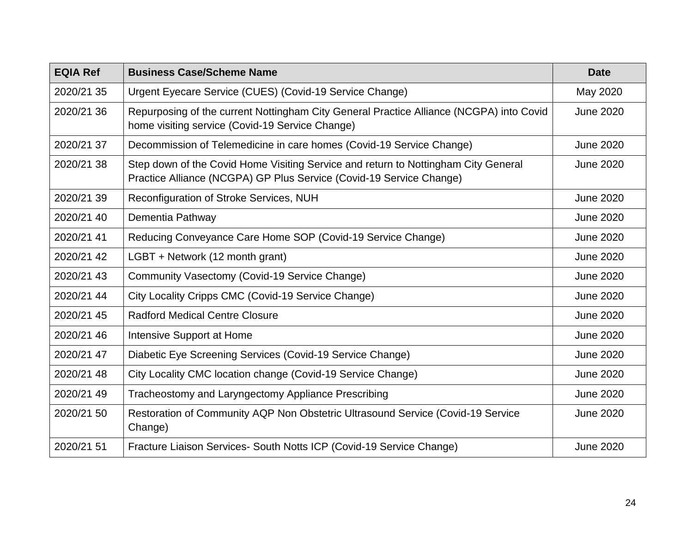| <b>EQIA Ref</b> | <b>Business Case/Scheme Name</b>                                                                                                                          | <b>Date</b>      |
|-----------------|-----------------------------------------------------------------------------------------------------------------------------------------------------------|------------------|
| 2020/21 35      | Urgent Eyecare Service (CUES) (Covid-19 Service Change)                                                                                                   | May 2020         |
| 2020/21 36      | Repurposing of the current Nottingham City General Practice Alliance (NCGPA) into Covid<br>home visiting service (Covid-19 Service Change)                | <b>June 2020</b> |
| 2020/21 37      | Decommission of Telemedicine in care homes (Covid-19 Service Change)                                                                                      | <b>June 2020</b> |
| 2020/21 38      | Step down of the Covid Home Visiting Service and return to Nottingham City General<br>Practice Alliance (NCGPA) GP Plus Service (Covid-19 Service Change) | <b>June 2020</b> |
| 2020/21 39      | Reconfiguration of Stroke Services, NUH                                                                                                                   | <b>June 2020</b> |
| 2020/21 40      | Dementia Pathway                                                                                                                                          | <b>June 2020</b> |
| 2020/21 41      | Reducing Conveyance Care Home SOP (Covid-19 Service Change)                                                                                               | <b>June 2020</b> |
| 2020/21 42      | LGBT + Network (12 month grant)                                                                                                                           | <b>June 2020</b> |
| 2020/21 43      | Community Vasectomy (Covid-19 Service Change)                                                                                                             | <b>June 2020</b> |
| 2020/21 44      | City Locality Cripps CMC (Covid-19 Service Change)                                                                                                        | <b>June 2020</b> |
| 2020/21 45      | <b>Radford Medical Centre Closure</b>                                                                                                                     | <b>June 2020</b> |
| 2020/21 46      | Intensive Support at Home                                                                                                                                 | <b>June 2020</b> |
| 2020/21 47      | Diabetic Eye Screening Services (Covid-19 Service Change)                                                                                                 | <b>June 2020</b> |
| 2020/21 48      | City Locality CMC location change (Covid-19 Service Change)                                                                                               | <b>June 2020</b> |
| 2020/21 49      | Tracheostomy and Laryngectomy Appliance Prescribing                                                                                                       | <b>June 2020</b> |
| 2020/21 50      | Restoration of Community AQP Non Obstetric Ultrasound Service (Covid-19 Service<br>Change)                                                                | <b>June 2020</b> |
| 2020/21 51      | Fracture Liaison Services- South Notts ICP (Covid-19 Service Change)                                                                                      | <b>June 2020</b> |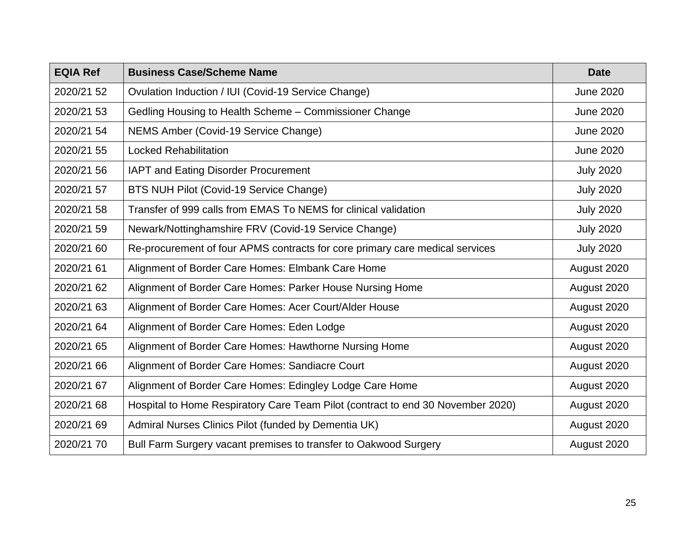| <b>EQIA Ref</b> | <b>Business Case/Scheme Name</b>                                                | <b>Date</b>      |
|-----------------|---------------------------------------------------------------------------------|------------------|
| 2020/21 52      | Ovulation Induction / IUI (Covid-19 Service Change)                             | <b>June 2020</b> |
| 2020/21 53      | Gedling Housing to Health Scheme - Commissioner Change                          | <b>June 2020</b> |
| 2020/21 54      | NEMS Amber (Covid-19 Service Change)                                            | <b>June 2020</b> |
| 2020/21 55      | <b>Locked Rehabilitation</b>                                                    | <b>June 2020</b> |
| 2020/21 56      | IAPT and Eating Disorder Procurement                                            | <b>July 2020</b> |
| 2020/21 57      | BTS NUH Pilot (Covid-19 Service Change)                                         | <b>July 2020</b> |
| 2020/21 58      | Transfer of 999 calls from EMAS To NEMS for clinical validation                 | <b>July 2020</b> |
| 2020/21 59      | Newark/Nottinghamshire FRV (Covid-19 Service Change)                            | <b>July 2020</b> |
| 2020/21 60      | Re-procurement of four APMS contracts for core primary care medical services    | <b>July 2020</b> |
| 2020/21 61      | Alignment of Border Care Homes: Elmbank Care Home                               | August 2020      |
| 2020/21 62      | Alignment of Border Care Homes: Parker House Nursing Home                       | August 2020      |
| 2020/21 63      | Alignment of Border Care Homes: Acer Court/Alder House                          | August 2020      |
| 2020/21 64      | Alignment of Border Care Homes: Eden Lodge                                      | August 2020      |
| 2020/21 65      | Alignment of Border Care Homes: Hawthorne Nursing Home                          | August 2020      |
| 2020/21 66      | Alignment of Border Care Homes: Sandiacre Court                                 | August 2020      |
| 2020/21 67      | Alignment of Border Care Homes: Edingley Lodge Care Home                        | August 2020      |
| 2020/21 68      | Hospital to Home Respiratory Care Team Pilot (contract to end 30 November 2020) | August 2020      |
| 2020/21 69      | Admiral Nurses Clinics Pilot (funded by Dementia UK)                            | August 2020      |
| 2020/21 70      | Bull Farm Surgery vacant premises to transfer to Oakwood Surgery                | August 2020      |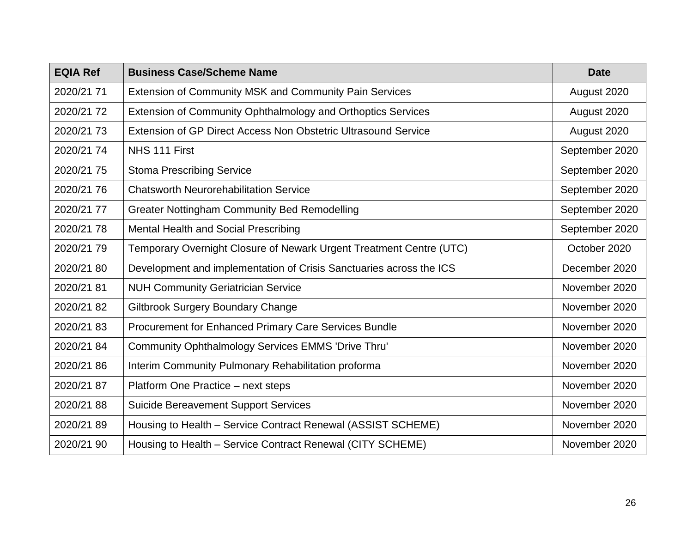| <b>EQIA Ref</b> | <b>Business Case/Scheme Name</b>                                    | <b>Date</b>    |
|-----------------|---------------------------------------------------------------------|----------------|
| 2020/21 71      | Extension of Community MSK and Community Pain Services              | August 2020    |
| 2020/21 72      | Extension of Community Ophthalmology and Orthoptics Services        | August 2020    |
| 2020/21 73      | Extension of GP Direct Access Non Obstetric Ultrasound Service      | August 2020    |
| 2020/21 74      | NHS 111 First                                                       | September 2020 |
| 2020/21 75      | <b>Stoma Prescribing Service</b>                                    | September 2020 |
| 2020/21 76      | <b>Chatsworth Neurorehabilitation Service</b>                       | September 2020 |
| 2020/21 77      | <b>Greater Nottingham Community Bed Remodelling</b>                 | September 2020 |
| 2020/21 78      | Mental Health and Social Prescribing                                | September 2020 |
| 2020/21 79      | Temporary Overnight Closure of Newark Urgent Treatment Centre (UTC) | October 2020   |
| 2020/21 80      | Development and implementation of Crisis Sanctuaries across the ICS | December 2020  |
| 2020/21 81      | <b>NUH Community Geriatrician Service</b>                           | November 2020  |
| 2020/21 82      | <b>Giltbrook Surgery Boundary Change</b>                            | November 2020  |
| 2020/21 83      | Procurement for Enhanced Primary Care Services Bundle               | November 2020  |
| 2020/21 84      | Community Ophthalmology Services EMMS 'Drive Thru'                  | November 2020  |
| 2020/21 86      | Interim Community Pulmonary Rehabilitation proforma                 | November 2020  |
| 2020/21 87      | Platform One Practice – next steps                                  | November 2020  |
| 2020/21 88      | <b>Suicide Bereavement Support Services</b>                         | November 2020  |
| 2020/21 89      | Housing to Health - Service Contract Renewal (ASSIST SCHEME)        | November 2020  |
| 2020/21 90      | Housing to Health - Service Contract Renewal (CITY SCHEME)          | November 2020  |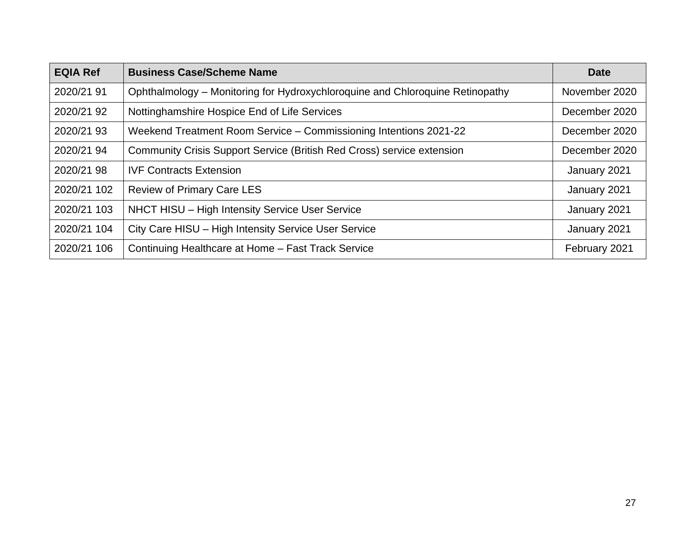| <b>EQIA Ref</b> | <b>Business Case/Scheme Name</b>                                              | <b>Date</b>   |
|-----------------|-------------------------------------------------------------------------------|---------------|
| 2020/21 91      | Ophthalmology - Monitoring for Hydroxychloroquine and Chloroquine Retinopathy | November 2020 |
| 2020/21 92      | Nottinghamshire Hospice End of Life Services                                  | December 2020 |
| 2020/21 93      | Weekend Treatment Room Service - Commissioning Intentions 2021-22             | December 2020 |
| 2020/21 94      | Community Crisis Support Service (British Red Cross) service extension        | December 2020 |
| 2020/21 98      | <b>IVF Contracts Extension</b>                                                | January 2021  |
| 2020/21 102     | <b>Review of Primary Care LES</b>                                             | January 2021  |
| 2020/21 103     | NHCT HISU - High Intensity Service User Service                               | January 2021  |
| 2020/21 104     | City Care HISU - High Intensity Service User Service                          | January 2021  |
| 2020/21 106     | Continuing Healthcare at Home - Fast Track Service                            | February 2021 |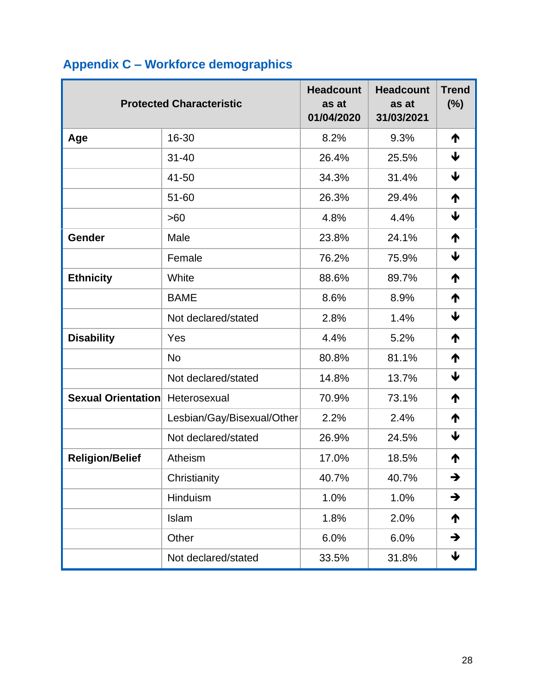| <b>Protected Characteristic</b> |                            | <b>Headcount</b><br>as at<br>01/04/2020 | <b>Headcount</b><br>as at<br>31/03/2021 | <b>Trend</b><br>(%) |
|---------------------------------|----------------------------|-----------------------------------------|-----------------------------------------|---------------------|
| Age                             | 16-30                      | 8.2%                                    | 9.3%                                    | ₼                   |
|                                 | $31 - 40$                  | 26.4%                                   | 25.5%                                   | ↓                   |
|                                 | 41-50                      | 34.3%                                   | 31.4%                                   | ↓                   |
|                                 | 51-60                      | 26.3%                                   | 29.4%                                   | ↑                   |
|                                 | >60                        | 4.8%                                    | 4.4%                                    | ↓                   |
| Gender                          | Male                       | 23.8%                                   | 24.1%                                   | ↑                   |
|                                 | Female                     | 76.2%                                   | 75.9%                                   | ↓                   |
| <b>Ethnicity</b>                | White                      | 88.6%                                   | 89.7%                                   | ↑                   |
|                                 | <b>BAME</b>                | 8.6%                                    | 8.9%                                    | ↑                   |
|                                 | Not declared/stated        | 2.8%                                    | 1.4%                                    | ↓                   |
| <b>Disability</b>               | Yes                        | 4.4%                                    | 5.2%                                    | ↑                   |
|                                 | <b>No</b>                  | 80.8%                                   | 81.1%                                   | ↑                   |
|                                 | Not declared/stated        | 14.8%                                   | 13.7%                                   | ↓                   |
| Sexual Orientation              | Heterosexual               | 70.9%                                   | 73.1%                                   | ↑                   |
|                                 | Lesbian/Gay/Bisexual/Other | 2.2%                                    | 2.4%                                    | ↑                   |
|                                 | Not declared/stated        | 26.9%                                   | 24.5%                                   | ↓                   |
| <b>Religion/Belief</b>          | Atheism                    | 17.0%                                   | 18.5%                                   | ↑                   |
|                                 | Christianity               | 40.7%                                   | 40.7%                                   | →                   |
|                                 | Hinduism                   | 1.0%                                    | 1.0%                                    | $\rightarrow$       |
|                                 | Islam                      | 1.8%                                    | 2.0%                                    | ↑                   |
|                                 | Other                      | 6.0%                                    | 6.0%                                    | →                   |
|                                 | Not declared/stated        | 33.5%                                   | 31.8%                                   | ↓                   |

# <span id="page-30-0"></span>**Appendix C – Workforce demographics**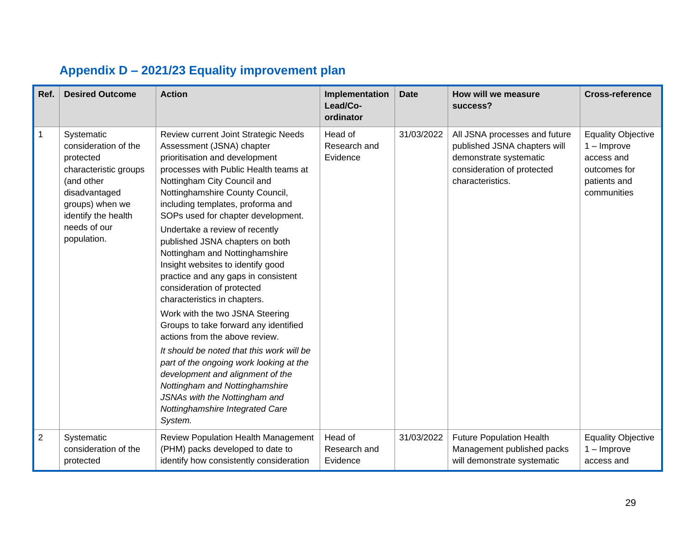<span id="page-31-0"></span>

| Ref.           | <b>Desired Outcome</b>                                                                                                                                                           | <b>Action</b>                                                                                                                                                                                                                                                                                                                                                                                                                                                                                                                                                                                                                                                                                                                                                                                                                                                                                         | Implementation<br>Lead/Co-<br>ordinator | <b>Date</b> | How will we measure<br>success?                                                                                                           | <b>Cross-reference</b>                                                                                  |
|----------------|----------------------------------------------------------------------------------------------------------------------------------------------------------------------------------|-------------------------------------------------------------------------------------------------------------------------------------------------------------------------------------------------------------------------------------------------------------------------------------------------------------------------------------------------------------------------------------------------------------------------------------------------------------------------------------------------------------------------------------------------------------------------------------------------------------------------------------------------------------------------------------------------------------------------------------------------------------------------------------------------------------------------------------------------------------------------------------------------------|-----------------------------------------|-------------|-------------------------------------------------------------------------------------------------------------------------------------------|---------------------------------------------------------------------------------------------------------|
| $\mathbf{1}$   | Systematic<br>consideration of the<br>protected<br>characteristic groups<br>(and other<br>disadvantaged<br>groups) when we<br>identify the health<br>needs of our<br>population. | Review current Joint Strategic Needs<br>Assessment (JSNA) chapter<br>prioritisation and development<br>processes with Public Health teams at<br>Nottingham City Council and<br>Nottinghamshire County Council,<br>including templates, proforma and<br>SOPs used for chapter development.<br>Undertake a review of recently<br>published JSNA chapters on both<br>Nottingham and Nottinghamshire<br>Insight websites to identify good<br>practice and any gaps in consistent<br>consideration of protected<br>characteristics in chapters.<br>Work with the two JSNA Steering<br>Groups to take forward any identified<br>actions from the above review.<br>It should be noted that this work will be<br>part of the ongoing work looking at the<br>development and alignment of the<br>Nottingham and Nottinghamshire<br>JSNAs with the Nottingham and<br>Nottinghamshire Integrated Care<br>System. | Head of<br>Research and<br>Evidence     | 31/03/2022  | All JSNA processes and future<br>published JSNA chapters will<br>demonstrate systematic<br>consideration of protected<br>characteristics. | <b>Equality Objective</b><br>$1 -$ Improve<br>access and<br>outcomes for<br>patients and<br>communities |
| $\overline{2}$ | Systematic<br>consideration of the<br>protected                                                                                                                                  | <b>Review Population Health Management</b><br>(PHM) packs developed to date to<br>identify how consistently consideration                                                                                                                                                                                                                                                                                                                                                                                                                                                                                                                                                                                                                                                                                                                                                                             | Head of<br>Research and<br>Evidence     | 31/03/2022  | <b>Future Population Health</b><br>Management published packs<br>will demonstrate systematic                                              | <b>Equality Objective</b><br>$1 -$ Improve<br>access and                                                |

# **Appendix D – 2021/23 Equality improvement plan**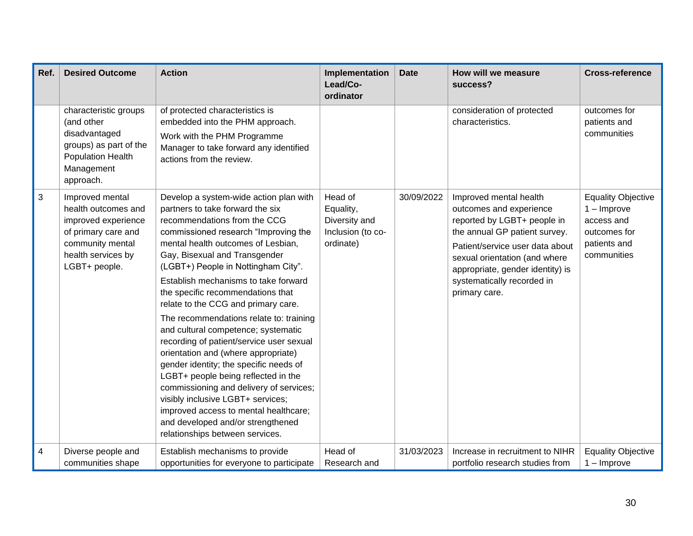| Ref. | <b>Desired Outcome</b>                                                                                                                          | <b>Action</b>                                                                                                                                                                                                                                                                                                                                                                                                                                                                                                                                                                                                                                                                                                                                                                                                                               | Implementation<br>Lead/Co-<br>ordinator                                 | <b>Date</b> | How will we measure<br>success?                                                                                                                                                                                                                                          | <b>Cross-reference</b>                                                                                  |
|------|-------------------------------------------------------------------------------------------------------------------------------------------------|---------------------------------------------------------------------------------------------------------------------------------------------------------------------------------------------------------------------------------------------------------------------------------------------------------------------------------------------------------------------------------------------------------------------------------------------------------------------------------------------------------------------------------------------------------------------------------------------------------------------------------------------------------------------------------------------------------------------------------------------------------------------------------------------------------------------------------------------|-------------------------------------------------------------------------|-------------|--------------------------------------------------------------------------------------------------------------------------------------------------------------------------------------------------------------------------------------------------------------------------|---------------------------------------------------------------------------------------------------------|
|      | characteristic groups<br>(and other<br>disadvantaged<br>groups) as part of the<br><b>Population Health</b><br>Management<br>approach.           | of protected characteristics is<br>embedded into the PHM approach.<br>Work with the PHM Programme<br>Manager to take forward any identified<br>actions from the review.                                                                                                                                                                                                                                                                                                                                                                                                                                                                                                                                                                                                                                                                     |                                                                         |             | consideration of protected<br>characteristics.                                                                                                                                                                                                                           | outcomes for<br>patients and<br>communities                                                             |
| 3    | Improved mental<br>health outcomes and<br>improved experience<br>of primary care and<br>community mental<br>health services by<br>LGBT+ people. | Develop a system-wide action plan with<br>partners to take forward the six<br>recommendations from the CCG<br>commissioned research "Improving the<br>mental health outcomes of Lesbian,<br>Gay, Bisexual and Transgender<br>(LGBT+) People in Nottingham City".<br>Establish mechanisms to take forward<br>the specific recommendations that<br>relate to the CCG and primary care.<br>The recommendations relate to: training<br>and cultural competence; systematic<br>recording of patient/service user sexual<br>orientation and (where appropriate)<br>gender identity; the specific needs of<br>LGBT+ people being reflected in the<br>commissioning and delivery of services;<br>visibly inclusive LGBT+ services;<br>improved access to mental healthcare;<br>and developed and/or strengthened<br>relationships between services. | Head of<br>Equality,<br>Diversity and<br>Inclusion (to co-<br>ordinate) | 30/09/2022  | Improved mental health<br>outcomes and experience<br>reported by LGBT+ people in<br>the annual GP patient survey.<br>Patient/service user data about<br>sexual orientation (and where<br>appropriate, gender identity) is<br>systematically recorded in<br>primary care. | <b>Equality Objective</b><br>$1 -$ Improve<br>access and<br>outcomes for<br>patients and<br>communities |
| 4    | Diverse people and<br>communities shape                                                                                                         | Establish mechanisms to provide<br>opportunities for everyone to participate                                                                                                                                                                                                                                                                                                                                                                                                                                                                                                                                                                                                                                                                                                                                                                | Head of<br>Research and                                                 | 31/03/2023  | Increase in recruitment to NIHR<br>portfolio research studies from                                                                                                                                                                                                       | <b>Equality Objective</b><br>$1 -$ Improve                                                              |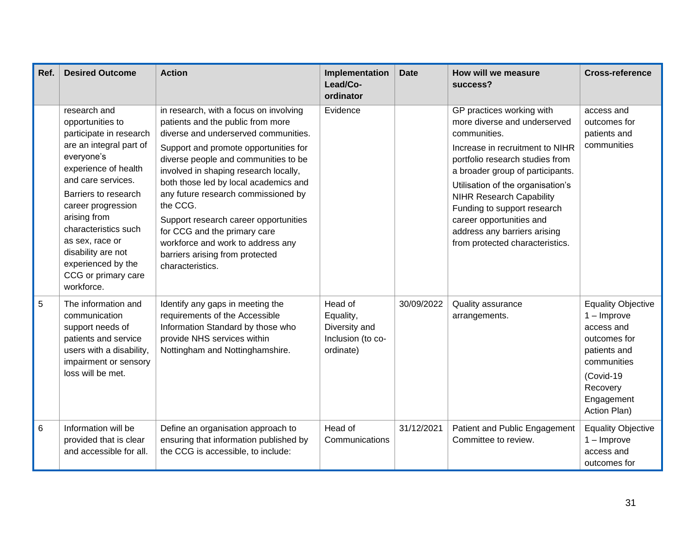| Ref. | <b>Desired Outcome</b>                                                                                                                                                                                                                                                                                                                       | <b>Action</b>                                                                                                                                                                                                                                                                                                                                                                                                                                                                                                  | Implementation<br>Lead/Co-<br>ordinator                                 | <b>Date</b> | How will we measure<br>success?                                                                                                                                                                                                                                                                                                                                                           | <b>Cross-reference</b>                                                                                                                                         |
|------|----------------------------------------------------------------------------------------------------------------------------------------------------------------------------------------------------------------------------------------------------------------------------------------------------------------------------------------------|----------------------------------------------------------------------------------------------------------------------------------------------------------------------------------------------------------------------------------------------------------------------------------------------------------------------------------------------------------------------------------------------------------------------------------------------------------------------------------------------------------------|-------------------------------------------------------------------------|-------------|-------------------------------------------------------------------------------------------------------------------------------------------------------------------------------------------------------------------------------------------------------------------------------------------------------------------------------------------------------------------------------------------|----------------------------------------------------------------------------------------------------------------------------------------------------------------|
|      | research and<br>opportunities to<br>participate in research<br>are an integral part of<br>everyone's<br>experience of health<br>and care services.<br>Barriers to research<br>career progression<br>arising from<br>characteristics such<br>as sex, race or<br>disability are not<br>experienced by the<br>CCG or primary care<br>workforce. | in research, with a focus on involving<br>patients and the public from more<br>diverse and underserved communities.<br>Support and promote opportunities for<br>diverse people and communities to be<br>involved in shaping research locally,<br>both those led by local academics and<br>any future research commissioned by<br>the CCG.<br>Support research career opportunities<br>for CCG and the primary care<br>workforce and work to address any<br>barriers arising from protected<br>characteristics. | Evidence                                                                |             | GP practices working with<br>more diverse and underserved<br>communities.<br>Increase in recruitment to NIHR<br>portfolio research studies from<br>a broader group of participants.<br>Utilisation of the organisation's<br><b>NIHR Research Capability</b><br>Funding to support research<br>career opportunities and<br>address any barriers arising<br>from protected characteristics. | access and<br>outcomes for<br>patients and<br>communities                                                                                                      |
| 5    | The information and<br>communication<br>support needs of<br>patients and service<br>users with a disability,<br>impairment or sensory<br>loss will be met.                                                                                                                                                                                   | Identify any gaps in meeting the<br>requirements of the Accessible<br>Information Standard by those who<br>provide NHS services within<br>Nottingham and Nottinghamshire.                                                                                                                                                                                                                                                                                                                                      | Head of<br>Equality,<br>Diversity and<br>Inclusion (to co-<br>ordinate) | 30/09/2022  | Quality assurance<br>arrangements.                                                                                                                                                                                                                                                                                                                                                        | <b>Equality Objective</b><br>$1 -$ Improve<br>access and<br>outcomes for<br>patients and<br>communities<br>(Covid-19<br>Recovery<br>Engagement<br>Action Plan) |
| 6    | Information will be<br>provided that is clear<br>and accessible for all.                                                                                                                                                                                                                                                                     | Define an organisation approach to<br>ensuring that information published by<br>the CCG is accessible, to include:                                                                                                                                                                                                                                                                                                                                                                                             | Head of<br>Communications                                               | 31/12/2021  | Patient and Public Engagement<br>Committee to review.                                                                                                                                                                                                                                                                                                                                     | <b>Equality Objective</b><br>$1 -$ Improve<br>access and<br>outcomes for                                                                                       |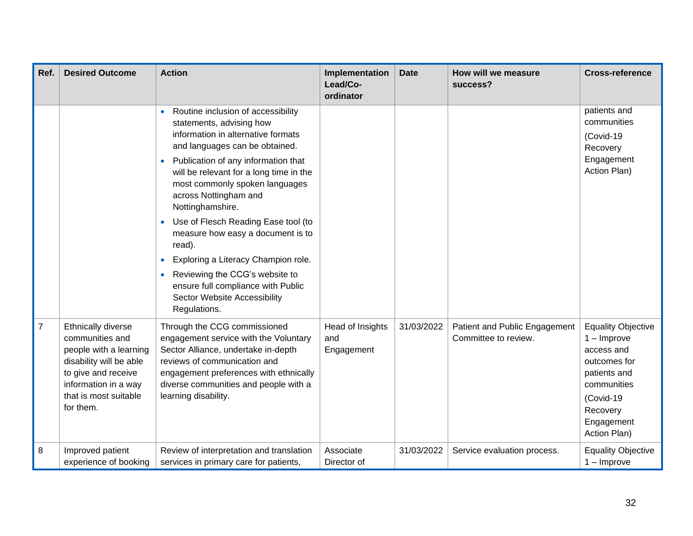| Ref.           | <b>Desired Outcome</b>                                                                                                                                                          | <b>Action</b>                                                                                                                                                                                                                                                                                                                                                                                                                                                                                                                                                | Implementation<br>Lead/Co-<br>ordinator | <b>Date</b> | How will we measure<br>success?                       | <b>Cross-reference</b>                                                                                                                                         |
|----------------|---------------------------------------------------------------------------------------------------------------------------------------------------------------------------------|--------------------------------------------------------------------------------------------------------------------------------------------------------------------------------------------------------------------------------------------------------------------------------------------------------------------------------------------------------------------------------------------------------------------------------------------------------------------------------------------------------------------------------------------------------------|-----------------------------------------|-------------|-------------------------------------------------------|----------------------------------------------------------------------------------------------------------------------------------------------------------------|
|                |                                                                                                                                                                                 | Routine inclusion of accessibility<br>statements, advising how<br>information in alternative formats<br>and languages can be obtained.<br>Publication of any information that<br>will be relevant for a long time in the<br>most commonly spoken languages<br>across Nottingham and<br>Nottinghamshire.<br>Use of Flesch Reading Ease tool (to<br>measure how easy a document is to<br>read).<br>Exploring a Literacy Champion role.<br>Reviewing the CCG's website to<br>ensure full compliance with Public<br>Sector Website Accessibility<br>Regulations. |                                         |             |                                                       | patients and<br>communities<br>(Covid-19<br>Recovery<br>Engagement<br>Action Plan)                                                                             |
| $\overline{7}$ | Ethnically diverse<br>communities and<br>people with a learning<br>disability will be able<br>to give and receive<br>information in a way<br>that is most suitable<br>for them. | Through the CCG commissioned<br>engagement service with the Voluntary<br>Sector Alliance, undertake in-depth<br>reviews of communication and<br>engagement preferences with ethnically<br>diverse communities and people with a<br>learning disability.                                                                                                                                                                                                                                                                                                      | Head of Insights<br>and<br>Engagement   | 31/03/2022  | Patient and Public Engagement<br>Committee to review. | <b>Equality Objective</b><br>$1 -$ Improve<br>access and<br>outcomes for<br>patients and<br>communities<br>(Covid-19<br>Recovery<br>Engagement<br>Action Plan) |
| 8              | Improved patient<br>experience of booking                                                                                                                                       | Review of interpretation and translation<br>services in primary care for patients,                                                                                                                                                                                                                                                                                                                                                                                                                                                                           | Associate<br>Director of                | 31/03/2022  | Service evaluation process.                           | <b>Equality Objective</b><br>$1 -$ Improve                                                                                                                     |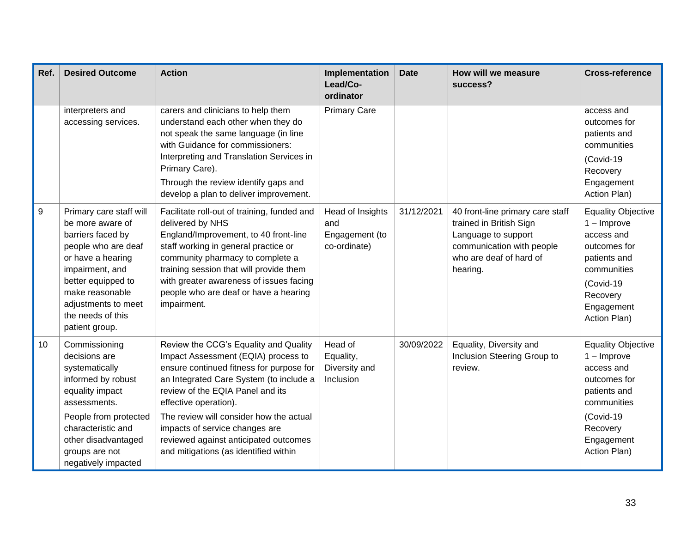| Ref. | <b>Desired Outcome</b>                                                                                                                                                                                                                 | <b>Action</b>                                                                                                                                                                                                                                                                                                                      | Implementation<br>Lead/Co-<br>ordinator                   | <b>Date</b> | How will we measure<br>success?                                                                                                                        | <b>Cross-reference</b>                                                                                                                                         |
|------|----------------------------------------------------------------------------------------------------------------------------------------------------------------------------------------------------------------------------------------|------------------------------------------------------------------------------------------------------------------------------------------------------------------------------------------------------------------------------------------------------------------------------------------------------------------------------------|-----------------------------------------------------------|-------------|--------------------------------------------------------------------------------------------------------------------------------------------------------|----------------------------------------------------------------------------------------------------------------------------------------------------------------|
|      | interpreters and<br>accessing services.                                                                                                                                                                                                | carers and clinicians to help them<br>understand each other when they do<br>not speak the same language (in line<br>with Guidance for commissioners:<br>Interpreting and Translation Services in<br>Primary Care).<br>Through the review identify gaps and<br>develop a plan to deliver improvement.                               | <b>Primary Care</b>                                       |             |                                                                                                                                                        | access and<br>outcomes for<br>patients and<br>communities<br>(Covid-19<br>Recovery<br>Engagement<br>Action Plan)                                               |
| 9    | Primary care staff will<br>be more aware of<br>barriers faced by<br>people who are deaf<br>or have a hearing<br>impairment, and<br>better equipped to<br>make reasonable<br>adjustments to meet<br>the needs of this<br>patient group. | Facilitate roll-out of training, funded and<br>delivered by NHS<br>England/Improvement, to 40 front-line<br>staff working in general practice or<br>community pharmacy to complete a<br>training session that will provide them<br>with greater awareness of issues facing<br>people who are deaf or have a hearing<br>impairment. | Head of Insights<br>and<br>Engagement (to<br>co-ordinate) | 31/12/2021  | 40 front-line primary care staff<br>trained in British Sign<br>Language to support<br>communication with people<br>who are deaf of hard of<br>hearing. | <b>Equality Objective</b><br>$1 -$ Improve<br>access and<br>outcomes for<br>patients and<br>communities<br>(Covid-19<br>Recovery<br>Engagement<br>Action Plan) |
| 10   | Commissioning<br>decisions are<br>systematically<br>informed by robust<br>equality impact<br>assessments.<br>People from protected<br>characteristic and                                                                               | Review the CCG's Equality and Quality<br>Impact Assessment (EQIA) process to<br>ensure continued fitness for purpose for<br>an Integrated Care System (to include a<br>review of the EQIA Panel and its<br>effective operation).<br>The review will consider how the actual<br>impacts of service changes are                      | Head of<br>Equality,<br>Diversity and<br>Inclusion        | 30/09/2022  | Equality, Diversity and<br>Inclusion Steering Group to<br>review.                                                                                      | <b>Equality Objective</b><br>$1 -$ Improve<br>access and<br>outcomes for<br>patients and<br>communities<br>(Covid-19<br>Recovery                               |
|      | other disadvantaged<br>groups are not<br>negatively impacted                                                                                                                                                                           | reviewed against anticipated outcomes<br>and mitigations (as identified within                                                                                                                                                                                                                                                     |                                                           |             |                                                                                                                                                        | Engagement<br>Action Plan)                                                                                                                                     |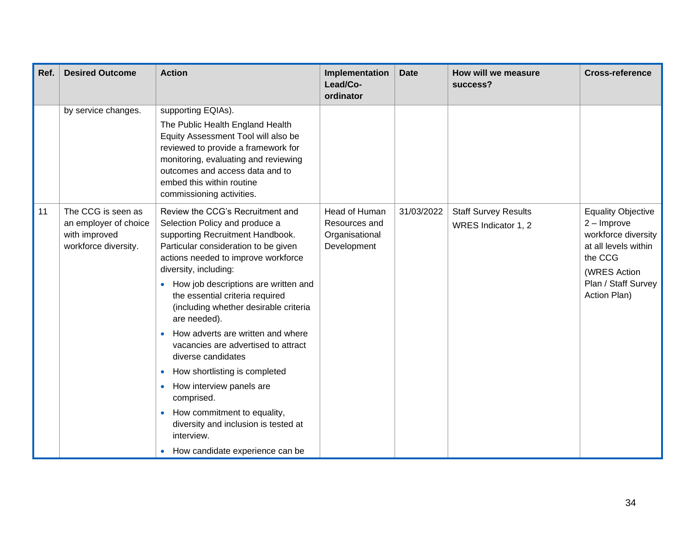| Ref. | <b>Desired Outcome</b>                                                               | <b>Action</b>                                                                                                                                                                                                                                                                                                                                                                                                                                                                                                                                                                                                                                                                     | Implementation<br>Lead/Co-<br>ordinator                         | <b>Date</b> | How will we measure<br>success?                    | <b>Cross-reference</b>                                                                                                                                      |
|------|--------------------------------------------------------------------------------------|-----------------------------------------------------------------------------------------------------------------------------------------------------------------------------------------------------------------------------------------------------------------------------------------------------------------------------------------------------------------------------------------------------------------------------------------------------------------------------------------------------------------------------------------------------------------------------------------------------------------------------------------------------------------------------------|-----------------------------------------------------------------|-------------|----------------------------------------------------|-------------------------------------------------------------------------------------------------------------------------------------------------------------|
|      | by service changes.                                                                  | supporting EQIAs).<br>The Public Health England Health<br>Equity Assessment Tool will also be<br>reviewed to provide a framework for<br>monitoring, evaluating and reviewing<br>outcomes and access data and to<br>embed this within routine<br>commissioning activities.                                                                                                                                                                                                                                                                                                                                                                                                         |                                                                 |             |                                                    |                                                                                                                                                             |
| 11   | The CCG is seen as<br>an employer of choice<br>with improved<br>workforce diversity. | Review the CCG's Recruitment and<br>Selection Policy and produce a<br>supporting Recruitment Handbook.<br>Particular consideration to be given<br>actions needed to improve workforce<br>diversity, including:<br>How job descriptions are written and<br>the essential criteria required<br>(including whether desirable criteria<br>are needed).<br>How adverts are written and where<br>vacancies are advertised to attract<br>diverse candidates<br>How shortlisting is completed<br>$\bullet$<br>How interview panels are<br>$\bullet$<br>comprised.<br>How commitment to equality,<br>diversity and inclusion is tested at<br>interview.<br>How candidate experience can be | Head of Human<br>Resources and<br>Organisational<br>Development | 31/03/2022  | <b>Staff Survey Results</b><br>WRES Indicator 1, 2 | <b>Equality Objective</b><br>$2 -$ Improve<br>workforce diversity<br>at all levels within<br>the CCG<br>(WRES Action<br>Plan / Staff Survey<br>Action Plan) |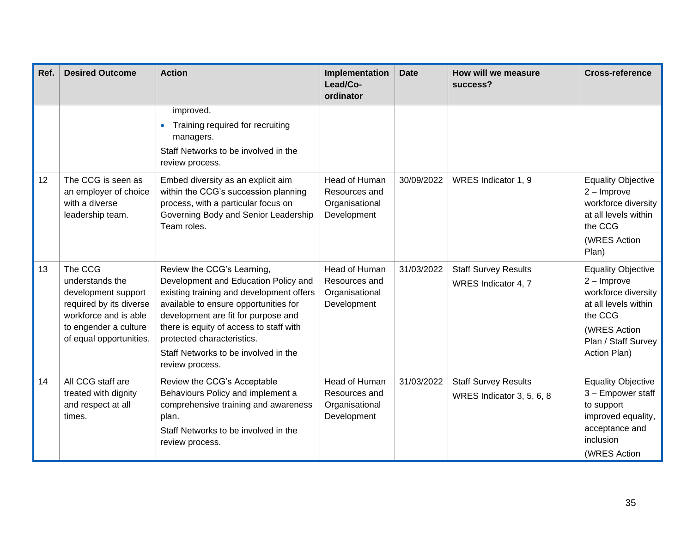| Ref. | <b>Desired Outcome</b>                                                                                                                                    | <b>Action</b>                                                                                                                                                                                                                                                                                                                      | Implementation<br>Lead/Co-<br>ordinator                                | <b>Date</b> | How will we measure<br>success?                          | <b>Cross-reference</b>                                                                                                                                      |
|------|-----------------------------------------------------------------------------------------------------------------------------------------------------------|------------------------------------------------------------------------------------------------------------------------------------------------------------------------------------------------------------------------------------------------------------------------------------------------------------------------------------|------------------------------------------------------------------------|-------------|----------------------------------------------------------|-------------------------------------------------------------------------------------------------------------------------------------------------------------|
|      |                                                                                                                                                           | improved.<br>Training required for recruiting<br>managers.<br>Staff Networks to be involved in the<br>review process.                                                                                                                                                                                                              |                                                                        |             |                                                          |                                                                                                                                                             |
| 12   | The CCG is seen as<br>an employer of choice<br>with a diverse<br>leadership team.                                                                         | Embed diversity as an explicit aim<br>within the CCG's succession planning<br>process, with a particular focus on<br>Governing Body and Senior Leadership<br>Team roles.                                                                                                                                                           | Head of Human<br>Resources and<br>Organisational<br>Development        | 30/09/2022  | WRES Indicator 1, 9                                      | <b>Equality Objective</b><br>$2 -$ Improve<br>workforce diversity<br>at all levels within<br>the CCG<br>(WRES Action<br>Plan)                               |
| 13   | The CCG<br>understands the<br>development support<br>required by its diverse<br>workforce and is able<br>to engender a culture<br>of equal opportunities. | Review the CCG's Learning,<br>Development and Education Policy and<br>existing training and development offers<br>available to ensure opportunities for<br>development are fit for purpose and<br>there is equity of access to staff with<br>protected characteristics.<br>Staff Networks to be involved in the<br>review process. | <b>Head of Human</b><br>Resources and<br>Organisational<br>Development | 31/03/2022  | <b>Staff Survey Results</b><br>WRES Indicator 4, 7       | <b>Equality Objective</b><br>$2 -$ Improve<br>workforce diversity<br>at all levels within<br>the CCG<br>(WRES Action<br>Plan / Staff Survey<br>Action Plan) |
| 14   | All CCG staff are<br>treated with dignity<br>and respect at all<br>times.                                                                                 | Review the CCG's Acceptable<br>Behaviours Policy and implement a<br>comprehensive training and awareness<br>plan.<br>Staff Networks to be involved in the<br>review process.                                                                                                                                                       | Head of Human<br>Resources and<br>Organisational<br>Development        | 31/03/2022  | <b>Staff Survey Results</b><br>WRES Indicator 3, 5, 6, 8 | <b>Equality Objective</b><br>3 - Empower staff<br>to support<br>improved equality,<br>acceptance and<br>inclusion<br>(WRES Action                           |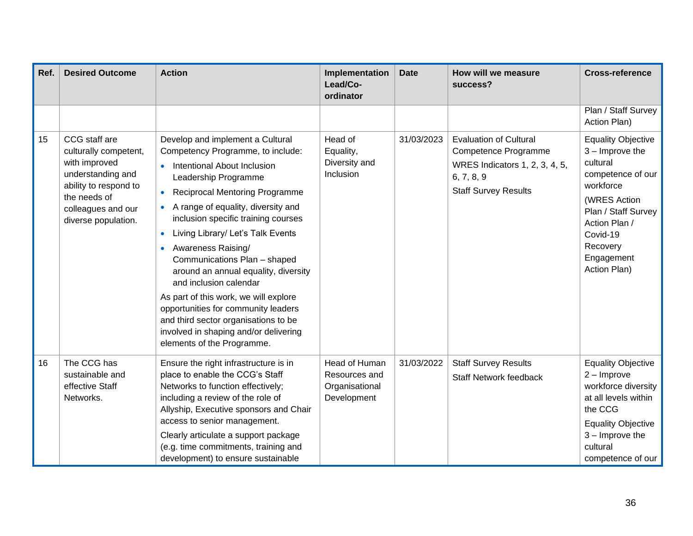| Ref. | <b>Desired Outcome</b>                                                                                                                                             | <b>Action</b>                                                                                                                                                                                                                                                                                                                                                                                                                                                                                                                                                                                                                                         | Implementation<br>Lead/Co-<br>ordinator                         | <b>Date</b> | How will we measure<br>success?                                                                                                      | <b>Cross-reference</b>                                                                                                                                                                                     |
|------|--------------------------------------------------------------------------------------------------------------------------------------------------------------------|-------------------------------------------------------------------------------------------------------------------------------------------------------------------------------------------------------------------------------------------------------------------------------------------------------------------------------------------------------------------------------------------------------------------------------------------------------------------------------------------------------------------------------------------------------------------------------------------------------------------------------------------------------|-----------------------------------------------------------------|-------------|--------------------------------------------------------------------------------------------------------------------------------------|------------------------------------------------------------------------------------------------------------------------------------------------------------------------------------------------------------|
|      |                                                                                                                                                                    |                                                                                                                                                                                                                                                                                                                                                                                                                                                                                                                                                                                                                                                       |                                                                 |             |                                                                                                                                      | Plan / Staff Survey<br>Action Plan)                                                                                                                                                                        |
| 15   | CCG staff are<br>culturally competent,<br>with improved<br>understanding and<br>ability to respond to<br>the needs of<br>colleagues and our<br>diverse population. | Develop and implement a Cultural<br>Competency Programme, to include:<br>Intentional About Inclusion<br>Leadership Programme<br><b>Reciprocal Mentoring Programme</b><br>$\bullet$<br>A range of equality, diversity and<br>$\bullet$<br>inclusion specific training courses<br>Living Library/ Let's Talk Events<br>$\bullet$<br>Awareness Raising/<br>Communications Plan - shaped<br>around an annual equality, diversity<br>and inclusion calendar<br>As part of this work, we will explore<br>opportunities for community leaders<br>and third sector organisations to be<br>involved in shaping and/or delivering<br>elements of the Programme. | Head of<br>Equality,<br>Diversity and<br>Inclusion              | 31/03/2023  | <b>Evaluation of Cultural</b><br>Competence Programme<br>WRES Indicators 1, 2, 3, 4, 5,<br>6, 7, 8, 9<br><b>Staff Survey Results</b> | <b>Equality Objective</b><br>$3 -$ Improve the<br>cultural<br>competence of our<br>workforce<br>(WRES Action<br>Plan / Staff Survey<br>Action Plan /<br>Covid-19<br>Recovery<br>Engagement<br>Action Plan) |
| 16   | The CCG has<br>sustainable and<br>effective Staff<br>Networks.                                                                                                     | Ensure the right infrastructure is in<br>place to enable the CCG's Staff<br>Networks to function effectively;<br>including a review of the role of<br>Allyship, Executive sponsors and Chair<br>access to senior management.<br>Clearly articulate a support package<br>(e.g. time commitments, training and<br>development) to ensure sustainable                                                                                                                                                                                                                                                                                                    | Head of Human<br>Resources and<br>Organisational<br>Development | 31/03/2022  | <b>Staff Survey Results</b><br><b>Staff Network feedback</b>                                                                         | <b>Equality Objective</b><br>$2 -$ Improve<br>workforce diversity<br>at all levels within<br>the CCG<br><b>Equality Objective</b><br>$3 -$ Improve the<br>cultural<br>competence of our                    |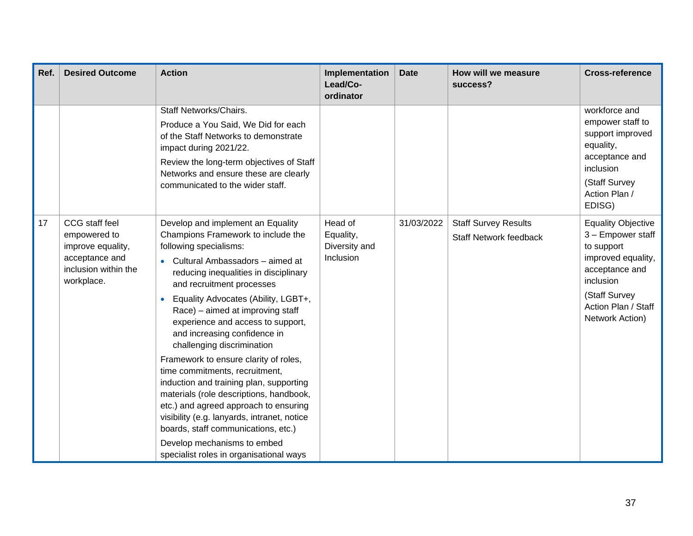| Ref. | <b>Desired Outcome</b>                                                                                      | <b>Action</b>                                                                                                                                                                                                                                                                                                                                                                                                                                                                                                                                                                                                                                                                                                                                                      | Implementation<br>Lead/Co-<br>ordinator            | <b>Date</b> | How will we measure<br>success?                              | <b>Cross-reference</b>                                                                                                                                                       |
|------|-------------------------------------------------------------------------------------------------------------|--------------------------------------------------------------------------------------------------------------------------------------------------------------------------------------------------------------------------------------------------------------------------------------------------------------------------------------------------------------------------------------------------------------------------------------------------------------------------------------------------------------------------------------------------------------------------------------------------------------------------------------------------------------------------------------------------------------------------------------------------------------------|----------------------------------------------------|-------------|--------------------------------------------------------------|------------------------------------------------------------------------------------------------------------------------------------------------------------------------------|
|      |                                                                                                             | Staff Networks/Chairs.<br>Produce a You Said, We Did for each<br>of the Staff Networks to demonstrate<br>impact during 2021/22.<br>Review the long-term objectives of Staff<br>Networks and ensure these are clearly<br>communicated to the wider staff.                                                                                                                                                                                                                                                                                                                                                                                                                                                                                                           |                                                    |             |                                                              | workforce and<br>empower staff to<br>support improved<br>equality,<br>acceptance and<br>inclusion<br>(Staff Survey<br>Action Plan /<br>EDISG)                                |
| 17   | CCG staff feel<br>empowered to<br>improve equality,<br>acceptance and<br>inclusion within the<br>workplace. | Develop and implement an Equality<br>Champions Framework to include the<br>following specialisms:<br>Cultural Ambassadors - aimed at<br>reducing inequalities in disciplinary<br>and recruitment processes<br>Equality Advocates (Ability, LGBT+,<br>Race) – aimed at improving staff<br>experience and access to support,<br>and increasing confidence in<br>challenging discrimination<br>Framework to ensure clarity of roles,<br>time commitments, recruitment,<br>induction and training plan, supporting<br>materials (role descriptions, handbook,<br>etc.) and agreed approach to ensuring<br>visibility (e.g. lanyards, intranet, notice<br>boards, staff communications, etc.)<br>Develop mechanisms to embed<br>specialist roles in organisational ways | Head of<br>Equality,<br>Diversity and<br>Inclusion | 31/03/2022  | <b>Staff Survey Results</b><br><b>Staff Network feedback</b> | <b>Equality Objective</b><br>3 - Empower staff<br>to support<br>improved equality,<br>acceptance and<br>inclusion<br>(Staff Survey<br>Action Plan / Staff<br>Network Action) |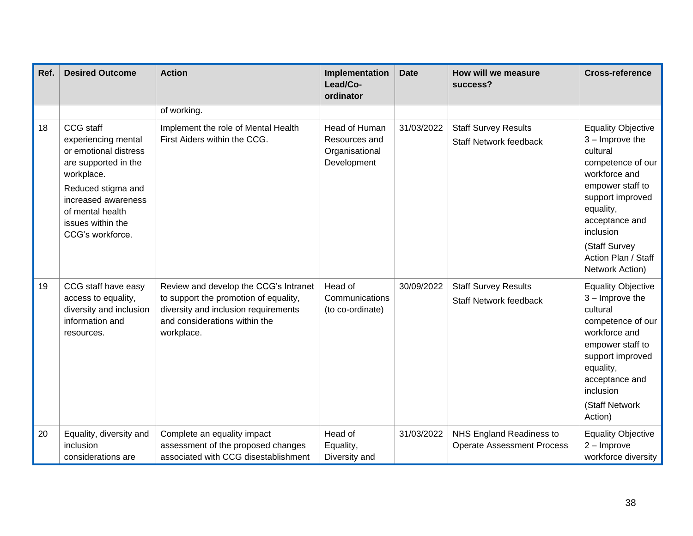| Ref. | <b>Desired Outcome</b>                                                                                                                                                                                    | <b>Action</b>                                                                                                                                                         | Implementation<br>Lead/Co-<br>ordinator                         | <b>Date</b> | How will we measure<br>success?                               | <b>Cross-reference</b>                                                                                                                                                                                                                          |
|------|-----------------------------------------------------------------------------------------------------------------------------------------------------------------------------------------------------------|-----------------------------------------------------------------------------------------------------------------------------------------------------------------------|-----------------------------------------------------------------|-------------|---------------------------------------------------------------|-------------------------------------------------------------------------------------------------------------------------------------------------------------------------------------------------------------------------------------------------|
|      |                                                                                                                                                                                                           | of working.                                                                                                                                                           |                                                                 |             |                                                               |                                                                                                                                                                                                                                                 |
| 18   | CCG staff<br>experiencing mental<br>or emotional distress<br>are supported in the<br>workplace.<br>Reduced stigma and<br>increased awareness<br>of mental health<br>issues within the<br>CCG's workforce. | Implement the role of Mental Health<br>First Aiders within the CCG.                                                                                                   | Head of Human<br>Resources and<br>Organisational<br>Development | 31/03/2022  | <b>Staff Survey Results</b><br>Staff Network feedback         | <b>Equality Objective</b><br>$3 -$ Improve the<br>cultural<br>competence of our<br>workforce and<br>empower staff to<br>support improved<br>equality,<br>acceptance and<br>inclusion<br>(Staff Survey<br>Action Plan / Staff<br>Network Action) |
| 19   | CCG staff have easy<br>access to equality,<br>diversity and inclusion<br>information and<br>resources.                                                                                                    | Review and develop the CCG's Intranet<br>to support the promotion of equality,<br>diversity and inclusion requirements<br>and considerations within the<br>workplace. | Head of<br>Communications<br>(to co-ordinate)                   | 30/09/2022  | <b>Staff Survey Results</b><br><b>Staff Network feedback</b>  | <b>Equality Objective</b><br>$3 -$ Improve the<br>cultural<br>competence of our<br>workforce and<br>empower staff to<br>support improved<br>equality,<br>acceptance and<br>inclusion<br>(Staff Network<br>Action)                               |
| 20   | Equality, diversity and<br>inclusion<br>considerations are                                                                                                                                                | Complete an equality impact<br>assessment of the proposed changes<br>associated with CCG disestablishment                                                             | Head of<br>Equality,<br>Diversity and                           | 31/03/2022  | NHS England Readiness to<br><b>Operate Assessment Process</b> | <b>Equality Objective</b><br>$2 -$ Improve<br>workforce diversity                                                                                                                                                                               |